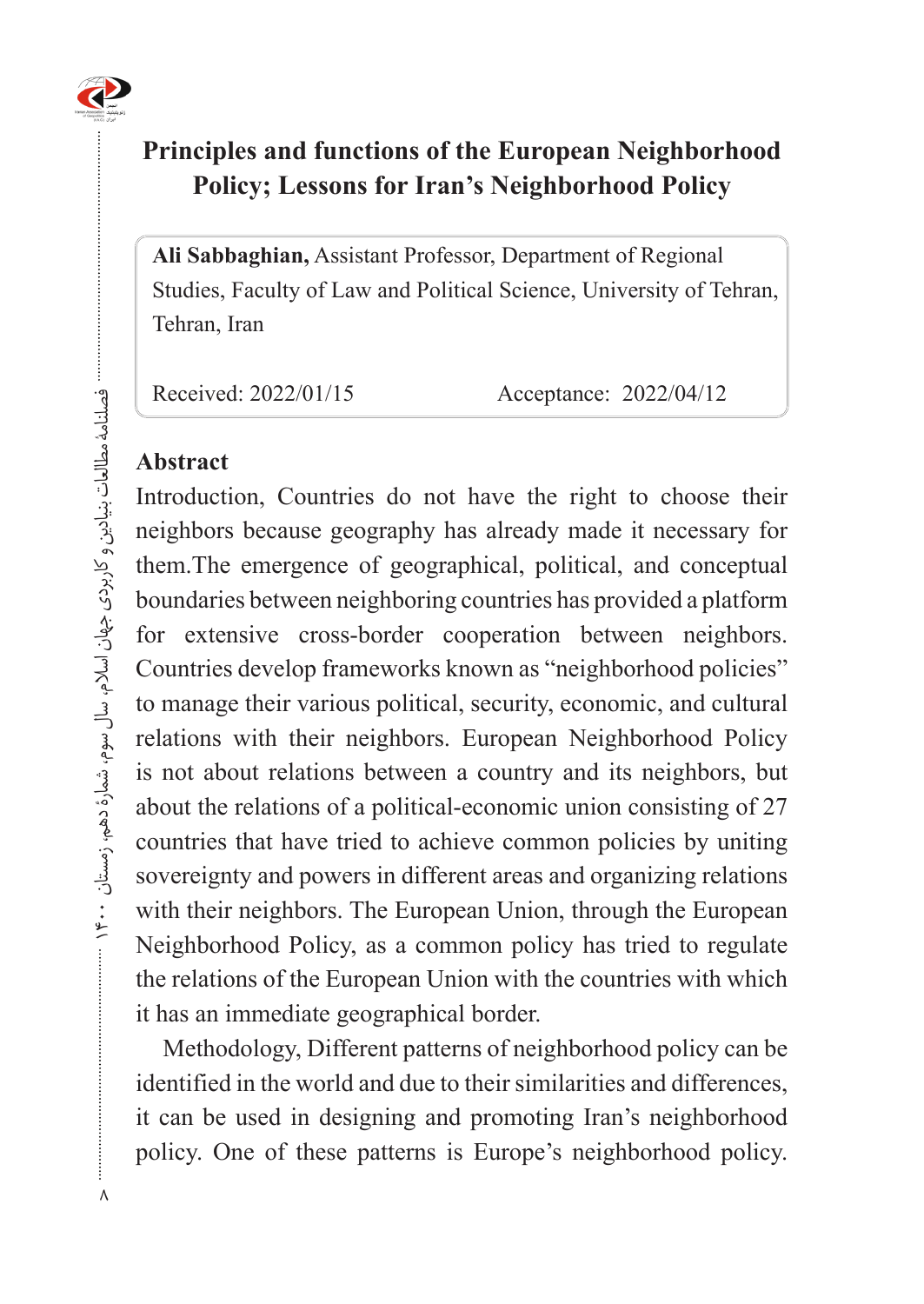

## **Principles and functions of the European Neighborhood** Policy; Lessons for Iran's Neighborhood Policy

Ali Sabbaghian, Assistant Professor, Department of Regional Studies, Faculty of Law and Political Science, University of Tehran, Tehran, Iran

Received: 2022/01/15 Acceptance: 2022/04/12

#### **Abstract**

Introduction, Countries do not have the right to choose their neighbors because geography has already made it necessary for them. The emergence of geographical, political, and conceptual boundaries between neighboring countries has provided a platform for extensive cross-border cooperation between neighbors. Countries develop frameworks known as "neighborhood policies" to manage their various political, security, economic, and cultural relations with their neighbors. European Neighborhood Policy is not about relations between a country and its neighbors, but about the relations of a political-economic union consisting of 27 countries that have tried to achieve common policies by uniting sovereignty and powers in different areas and organizing relations with their neighbors. The European Union, through the European Neighborhood Policy, as a common policy has tried to regulate the relations of the European Union with the countries with which it has an immediate geographical border.

Methodology, Different patterns of neighborhood policy can be identified in the world and due to their similarities and differences, it can be used in designing and promoting Iran's neighborhood policy. One of these patterns is Europe's neighborhood policy.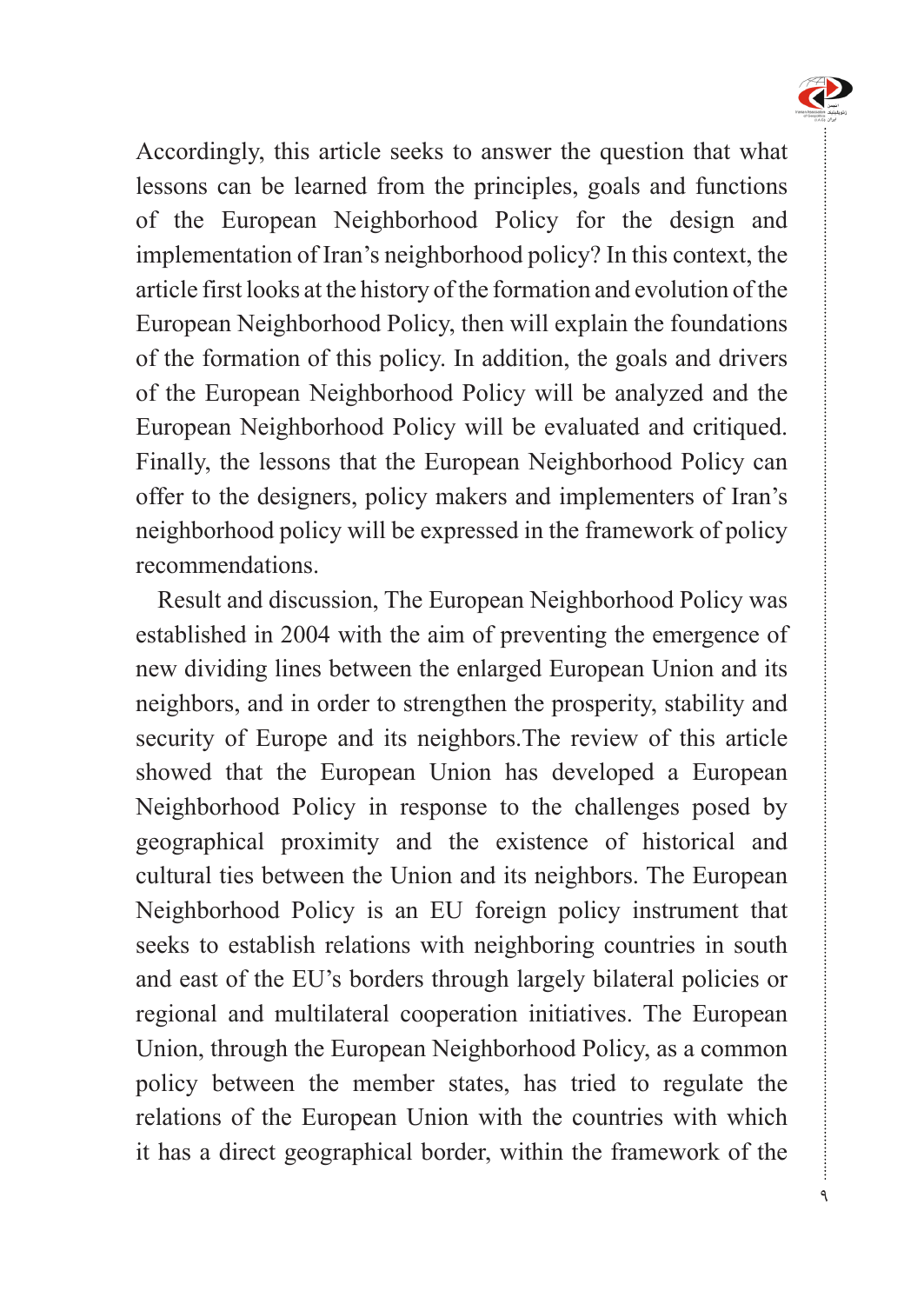

9

Accordingly, this article seeks to answer the question that what lessons can be learned from the principles, goals and functions of the European Neighborhood Policy for the design and implementation of Iran's neighborhood policy? In this context, the article first looks at the history of the formation and evolution of the European Neighborhood Policy, then will explain the foundations of the formation of this policy. In addition, the goals and drivers of the European Neighborhood Policy will be analyzed and the European Neighborhood Policy will be evaluated and critiqued. Finally, the lessons that the European Neighborhood Policy can offer to the designers, policy makers and implementers of Iran's neighborhood policy will be expressed in the framework of policy .recommendations

Result and discussion, The European Neighborhood Policy was established in 2004 with the aim of preventing the emergence of new dividing lines between the enlarged European Union and its neighbors, and in order to strengthen the prosperity, stability and security of Europe and its neighbors. The review of this article showed that the European Union has developed a European Neighborhood Policy in response to the challenges posed by geographical proximity and the existence of historical and cultural ties between the Union and its neighbors. The European Neighborhood Policy is an EU foreign policy instrument that seeks to establish relations with neighboring countries in south and east of the EU's borders through largely bilateral policies or regional and multilateral cooperation initiatives. The European Union, through the European Neighborhood Policy, as a common policy between the member states, has tried to regulate the relations of the European Union with the countries with which it has a direct geographical border, within the framework of the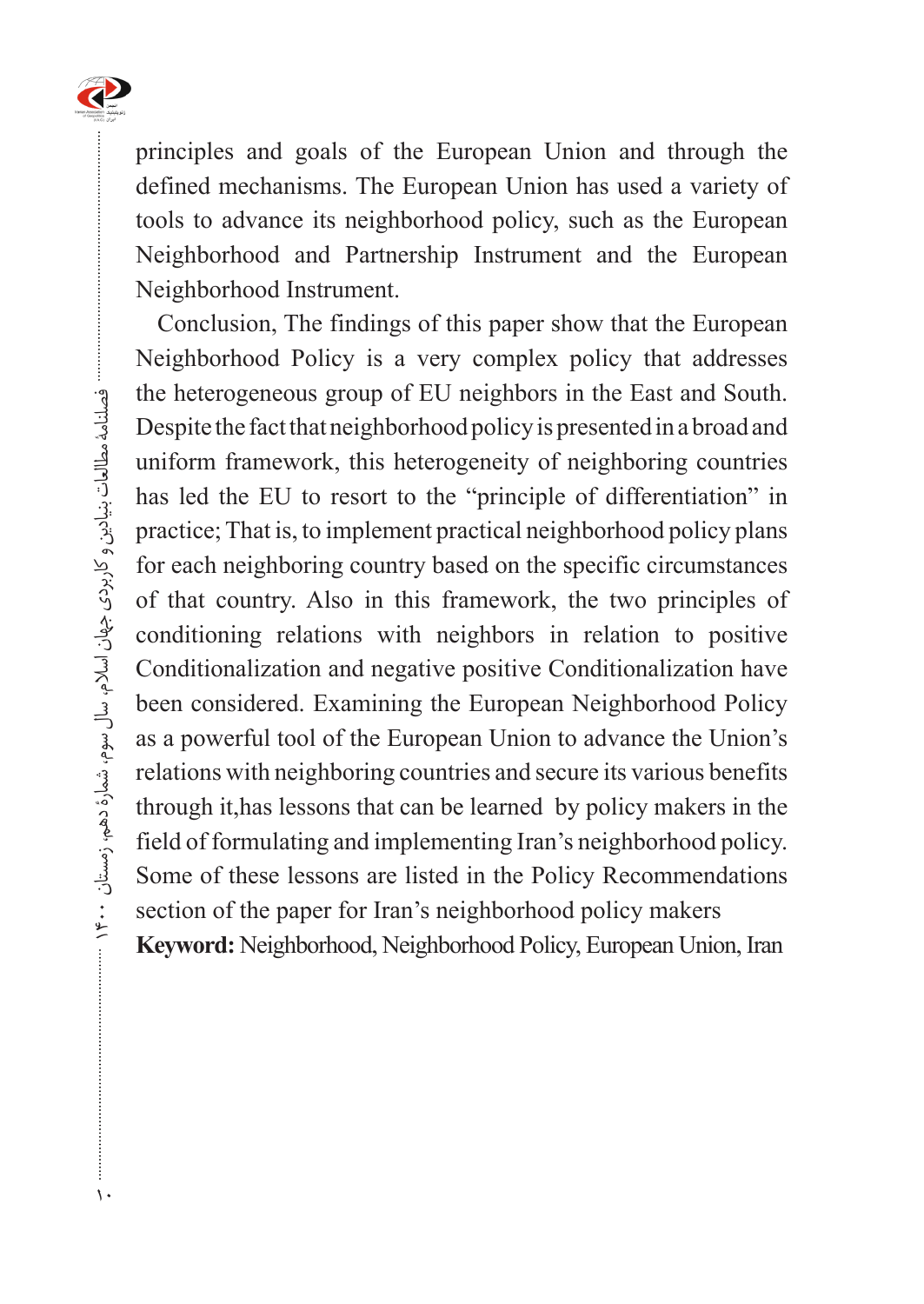

principles and goals of the European Union and through the defined mechanisms. The European Union has used a variety of tools to advance its neighborhood policy, such as the European Neighborhood and Partnership Instrument and the European Neighborhood Instrument.

Conclusion, The findings of this paper show that the European Neighborhood Policy is a very complex policy that addresses the heterogeneous group of EU neighbors in the East and South. Despite the fact that neighborhood policy is presented in a broad and uniform framework, this heterogeneity of neighboring countries has led the EU to resort to the "principle of differentiation" in practice; That is, to implement practical neighborhood policy plans for each neighboring country based on the specific circumstances of that country. Also in this framework, the two principles of conditioning relations with neighbors in relation to positive Conditionalization and negative positive Conditionalization have been considered. Examining the European Neighborhood Policy as a powerful tool of the European Union to advance the Union's relations with neighboring countries and secure its various benefits through it, has lessons that can be learned by policy makers in the field of formulating and implementing Iran's neighborhood policy. Some of these lessons are listed in the Policy Recommendations section of the paper for Iran's neighborhood policy makers Keyword: Neighborhood, Neighborhood Policy, European Union, Iran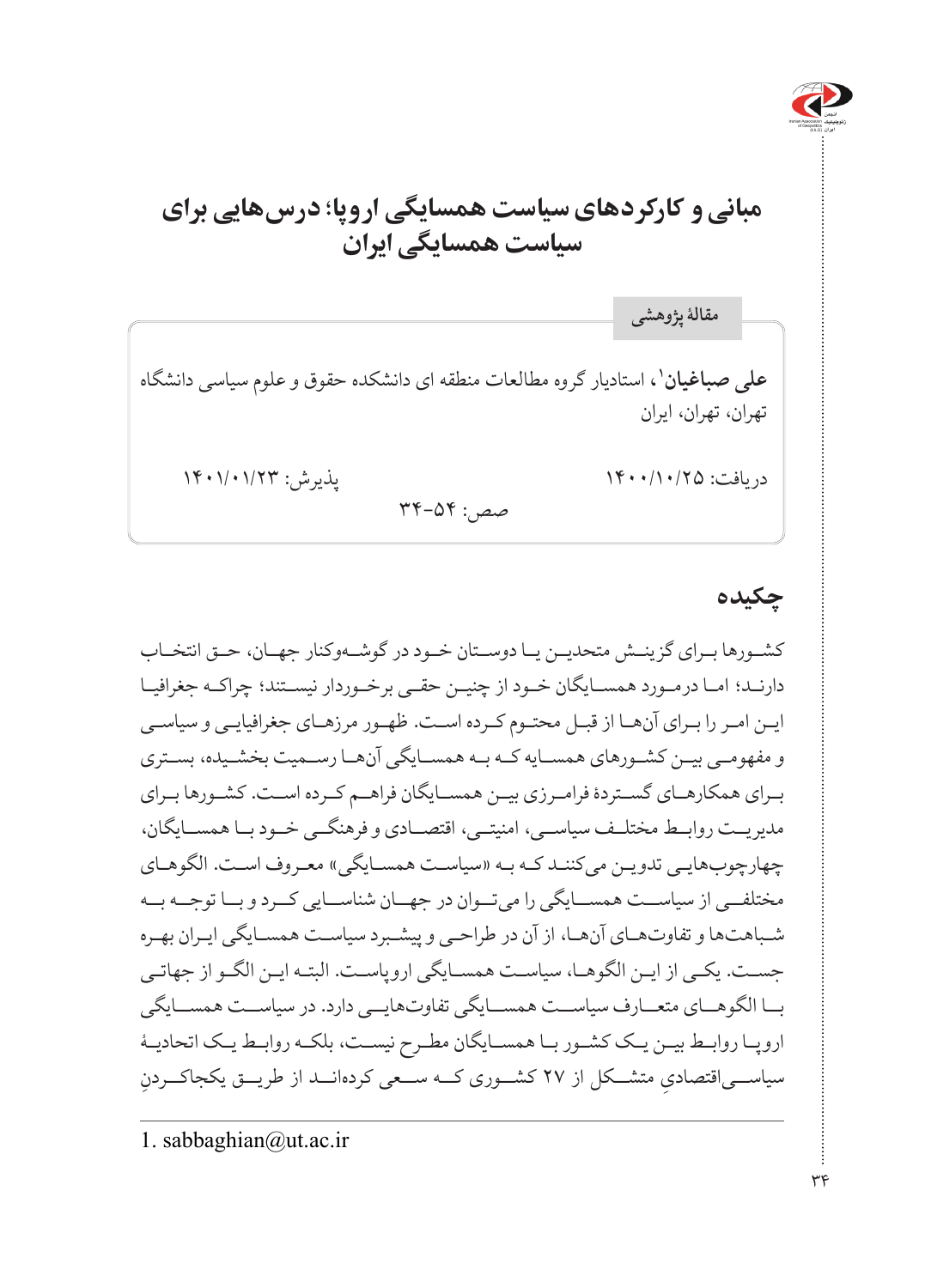

# **مبانی و کارکردهای سیاست همسایگی اروپا؛ درسهایی برای سیاست همسایگی ایران**

**،1** استادیار گروه مطالعات منطقه ای دانشکده حقوق و علوم سیاسی دانشگاه **علی صباغیان** تهران، تهران، ایران دریافت: ۱۴۰۰/۱۰/۲۵ پنجم به ۱۴۰۰/۱۰/۲۳ پذیرش: ۱۴۰۱/۱۴۰۱ صص: 34-54 **مقالۀ پژوهشی**

**چکیده**

کشــورها بــرای گزینــش متحدیــن یــا دوســتان خــود در گوشــهوکنار جهــان، حــق انتخــاب دارنـد؛ امـا درمـورد همسـایگان خـود از چنیـن حقـی برخـوردار نیسـتند؛ چراکـه جغرافیـا ایـن امـر را بـرای آنهـا از قبـل محتـوم کـرده اسـت. ظهـور مرزهـای جغرافیایـی و سیاسـی و مفهومــی بیــن کشــورهای همســایه کــه بــه همســایگی آنهــا رســمیت بخشــیده، بســتری بــرای همکارهــای گســتردۀ فرامــرزی بیــن همســایگان فراهــم کــرده اســت. کشــورها بــرای مدیریــت روابــط مختلــف سیاســی، امنیتــی، اقتصــادی و فرهنگــی خــود بــا همســایگان، چهارچوبهایـی تدویـن میکننـد کـه بـه »سیاسـت همسـایگی« معـروف اسـت. الگوهـای مختلفــی از سیاســت همســایگی را میتــوان در جهــان شناســایی کــرد و بــا توجــه بــه شـباهتها و تفاوتهـای آنهـا، از آن در طراحـی و پیشـبرد سیاسـت همسـایگی ایـران بهـره جسـت. یکـی از ایـن الگوهـا، سیاسـت همسـایگی اروپاسـت. البتـه ایـن الگـو از جهاتـی بــا الگوهــای متعــارف سیاســت همســایگی تفاوتهایــی دارد. در سیاســت همســایگی اروپــا روابــط بیــن یــک کشــور بــا همســایگان مطــرح نیســت، بلکــه روابــط یــک اتحادیــۀ ِ سیاســـیاقتصادیِ متشــکل از ۲۷ کشـــوری کـــه ســـعی کردهانـــد از طریـــق یکجاکـــردنِ

1. sabbaghian@ut.ac.ir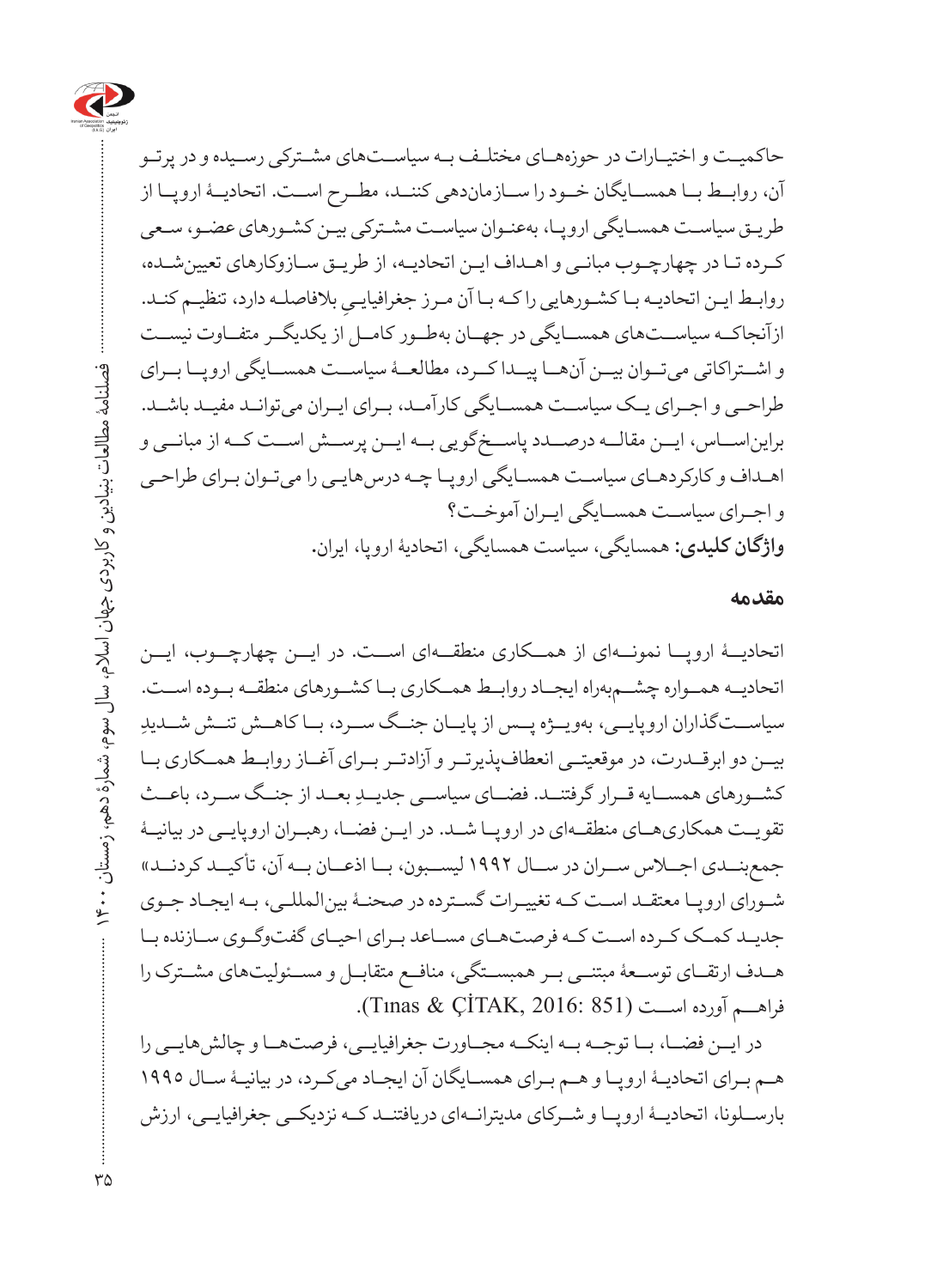

حاکمیـت و اختیـارات در حوزههـای مختلـف بـه سیاسـتهای مشـترکی رسـیده و در پرتـو آن، روابــط بــا همســایگان خــود را ســازماندهی کننــد، مطــرح اســت. اتحادیــۀ اروپــا از طریـق سیاسـت همسـایگی اروپـا، بهعنـوان سیاسـت مشـترکی بیـن کشـورهای عضـو، سـعی کـرده تـا در چهارچـوب مبانـی و اهـداف ایـن اتحادیـه، از طریـق سـازوکارهای تعیینشـده، روابـط ایـن اتحادیـه بـا کشـورهایی را کـه بـا آن مـرز جغرافیایـیِ بلافاصلـه دارد، تنظیـم کنـد.<br>-ازآنجاکــه سیاســتهای همســایگی در جهــان بهطــور کامــل از یکدیگــر متفــاوت نیســت و اشــتراکاتی میتــوان بیــن آنهــا پیــدا کــرد، مطالعــۀ سیاســت همســایگی اروپــا بــرای طراحــی و اجــرای یــک سیاســت همســایگی کارآمــد، بــرای ایــران میتوانــد مفیــد باشــد. برایناســاس، ایــن مقالــه درصــدد پاســخگویی بــه ایــن پرســش اســت کــه از مبانــی و اهـداف و کارکردهـای سیاسـت همسـایگی اروپـا چـه درسهایـی را میتـوان بـرای طراحـی و اجــرای سیاســت همســایگی ایــران آموخــت؟ **واژگان کلیدی:** همسایگی، سیاست همسایگی، اتحادیۀ اروپا، ایران**.**

#### **مقدمه**

اتحادیــۀ اروپــا نمونــهای از همــکاری منطقــهای اســت. در ایــن چهارچــوب، ایــن اتحادیــه همــواره چشــمبهراه ایجــاد روابــط همــکاری بــا کشــورهای منطقــه بــوده اســت. ِ سیاســتگذاران اروپایــی، بهویــژه پــس از پایــان جنــگ ســرد، بــا کاهــش تنــش شــدید بیــن دو ابرقــدرت، در موقعیتــی انعطافپذیرتــر و آزادتــر بــرای آغــاز روابــط همــکاری بــا کشــورهای همســايه قــرار گرفتنــد. فضــای سياســی جديــدِ بعــد از جنــگ ســرد، باعــث تقویــت همکاریهــای منطقــهای در اروپــا شــد. در ایــن فضــا، رهبــران اروپایــی در بیانیــۀ جمعبنــدی اجــاس ســران در ســال 1992 لیســبون، بــا اذعــان بــه آن، تأکیــد کردنــد« شـورای اروپـا معتقـد اسـت کـه تغییـرات گسـترده در صحنـۀ بینالمللـی، بـه ایجـاد جـوی جدیــد کمــک کــرده اســت کــه فرصتهــای مســاعد بــرای احیــای گفتوگــوی ســازنده بــا هــدف ارتقــای توســعۀ مبتنــی بــر همبســتگی، منافــع متقابــل و مســئولیتهای مشــترک را فراهــم آورده اســت (851 2016: ,ÇİTAK & Tınas(.

در ایــن فضــا، بــا توجــه بــه اینکــه مجــاورت جغرافیایــی، فرصتهــا و چالشهایــی را هـم بـرای اتحادیـۀ اروپـا و هـم بـرای همسـایگان آن ایجـاد میکـرد، در بیانیـۀ سـال 1995 بارســلونا، اتحادیــۀ اروپــا و شــرکای مدیترانــهای دریافتنــد کــه نزدیکــی جغرافیایــی، ارزش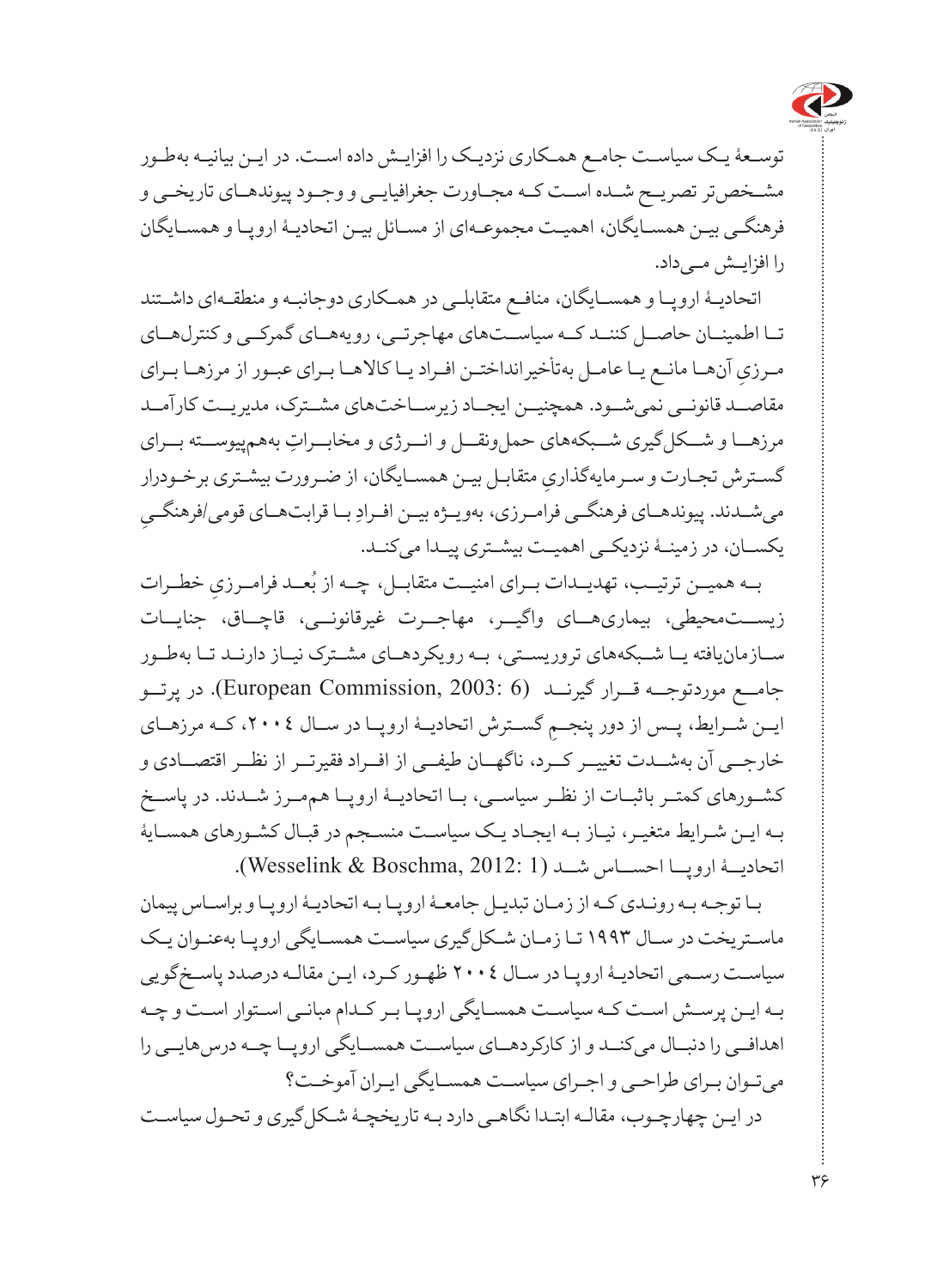

توسـعۀ یـک سیاسـت جامـع همـکاری نزدیـک را افزایـش داده اسـت. در ایـن بیانیـه بهطـور مشــخصتر تصریــح شــده اســت کــه مجــاورت جغرافیایــی و وجــود پیوندهــای تاریخــی و فرهنگـی بیـن همسـایگان، اهمیـت مجموعـهای از مسـائل بیـن اتحادیـۀ اروپـا و همسـایگان را افزایـش مـیداد.

اتحادیـۀ اروپـا و همسـایگان، منافـع متقابلـی در همـکاری دوجانبـه و منطقـهای داشـتند تــا اطمینــان حاصــل کننــد کــه سیاســتهای مهاجرتــی، رویههــای گمرکــی و کنترلهــای مـرزيِ آنهـا مانـع يـا عامـل بهتأخيرانداختـن افـراد يـا كالاهـا بـراي عبـور از مرزهـا بـراي<br>. مقاصــد قانونــی نمی شــود. همچنیــن ایجــاد زیرســاختهای مشــترک، مدیریــت کارآمــد مرزهــا و شـــکل گیری شـــبکههای حمل ونقـــل و انـــرژی و مخابـــراتِ بههمپیوســـته بـــرای ِ متقابـل بیـن همسـایگان، از ضـرورت بیشـتری برخـودرار گسـترش تجـارت و سـرمایهگذاری ِ مي شــدند. پيوندهــاي فرهنگــي فرامــرزي، بهويــژه بيــن افــرادِ بــا قرابتهــاي قومي/فرهنگــيِ یکســان، در زمینــۀ نزدیکــی اهمیــت بیشـتری پیــدا میکنــد.

بـه همیــن ترتیــب، تهدیــدات بــرای امنیــت متقابــل، چــه از بُعــد فرامــرزیِ خطــرات زیستـمحیطی، بیماریهــای واگیــر، مهاجــرت غیرقانونــی، قاچــاق، جنایــات س ازمانیافته ی ا شــبکههای تروریســتی، بــه رویکردهــای مشــترک نیــاز دارنــد تــا بهطــور جامــع موردتوجــه قــرار گیرنــد (European Commission, 2003: 6). در پرتــو ایــن شــرایط، پــس از دور پنجــمِ گســترش اتحادیــۀ اروپــا در ســال ،200٤، کــه مرزهــای<br>-خارجــی آن بهشــدت تغییــر کــرد، ناگهــان طیفــی از افــراد فقیرتــر از نظــر اقتصــادی و کشــورهای کمتــر باثبــات از نظــر سیاســی، بــا اتحادیــۀ اروپــا هممــرز شــدند. در پاســخ بـه ایـن شـرایط متغیـر، نیـاز بـه ایجـاد یـک سیاسـت منسـجم در قبـال کشـورهای همسـایۀ اتحادیــۀ اروپــا احســاس شــد )1 2012: ,Boschma & Wesselink).

بـا توجـه بـه رونـدی کـه از زمـان تبدیـل جامعـۀ اروپـا بـه اتحادیـۀ اروپـا و براسـاس پیمان ماسـتریخت در سـال 1993 تـا زمـان شـکلگیری سیاسـت همسـایگی اروپـا بهعنـوان یـک سیاسـت رسـمی اتحادیـۀ اروپـا در سـال 2004 ظهـور کـرد، ایـن مقالـه درصدد پاسـخگویی بـه ایـن پرسـش اسـت کـه سیاسـت همسـایگی اروپـا بـر کـدام مبانـی اسـتوار اسـت و چـه اهدافــی را دنبــال میکنــد و از کارکردهــای سیاســت همســایگی اروپــا چــه درسهایــی را میتـوان بـرای طراحـی و اجـرای سیاسـت همسـایگی ایـران آموخـت؟ در ایـن چهارچـوب، مقالـه ابتـدا نگاهـی دارد بـه تاریخچـۀ شـکل گیری و تحـول سیاسـت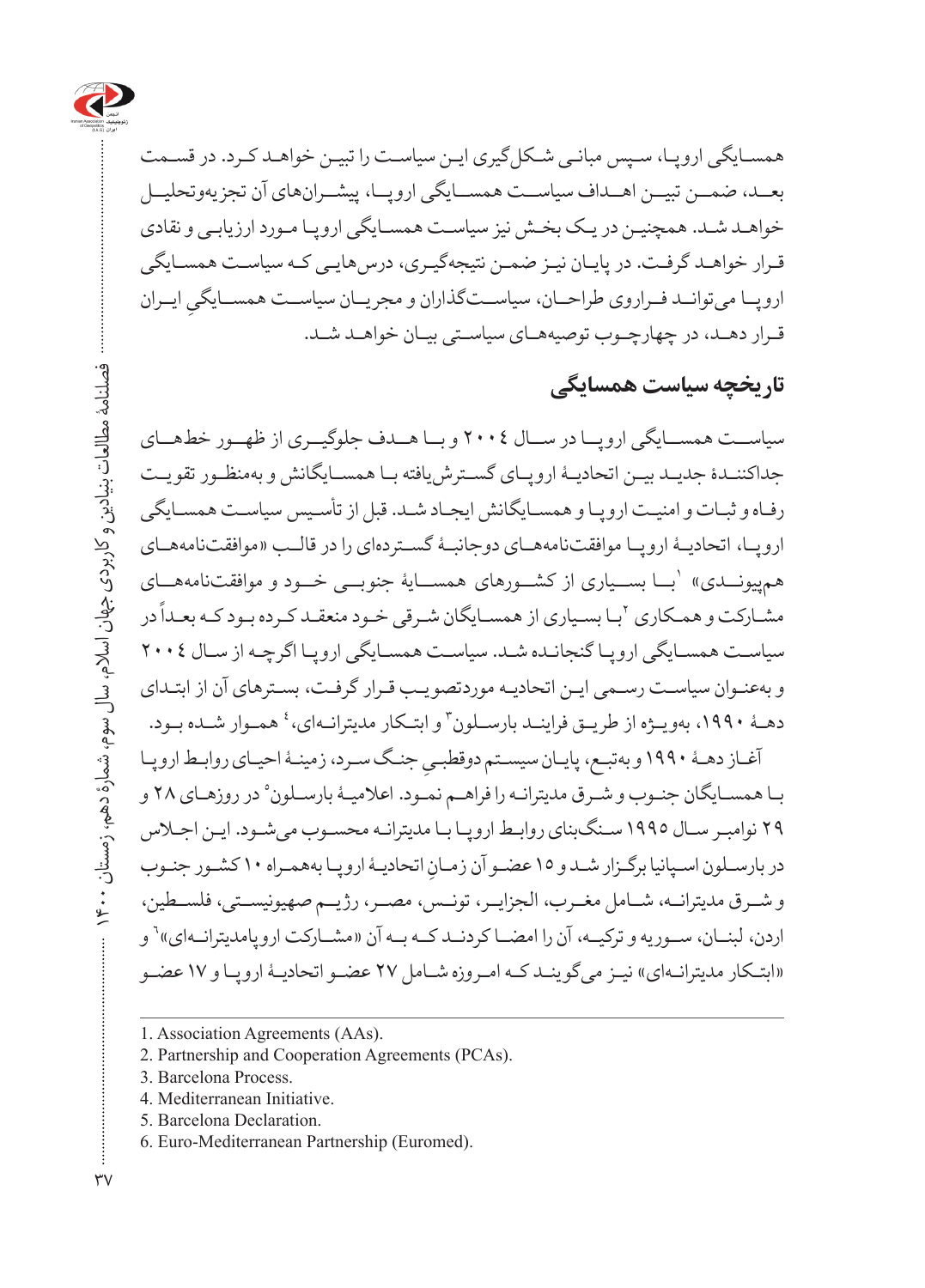

همسـایگی اروپـا، سـپس مبانـی شـکلگیری ایـن سیاسـت را تبیـن خواهـد کـرد. در قسـمت بعــد، ضمـــن تبیـــن اهـــداف سیاســـت همســـایگی اروپـــا، پیشـــران&ای آن تجزیهوتحلیــل خواهـد شـد. همچنیـن در یـک بخـش نیز سیاسـت همسـایگی اروپـا مـورد ارزیابـی و نقادی قـرار خواهـد گرفـت. در پایـان نیـز ضمـن نتیجهگیـری، درسهایـی کـه سیاسـت همسـایگی اروپــا میتوانــد فــراروی طراحــان، سیاســتگذاران و مجریــان سیاســت همســایگیِ ایــران<br>. ق رار ده د، در چهارچوــب توصیههاــی سیاسـتی بیـان خواهـد شـد.

#### **تاریخچه سیاست همسایگی**

سیاســت همســایگی اروپــا در ســال 2004 و بــا هــدف جلوگیــری از ظهــور خطهــای جداکننـدۀ جدیـد بیـن اتحادیـۀ اروپـای گسـترشیافته بـا همسـایگانش و بهمنظـور تقویـت رفـاه و ثبـات و امنیـت اروپـا و همسـایگانش ایجـاد شـد. قبل از تأسـیس سیاسـت همسـایگی اروپــا، اتحادیــۀ اروپــا موافقتنامههــای دوجانبـۀ گسـتردهای را در قالــب »موافقتنامههـای هم پیونـــدی» `بـــا بســـیاری از کشـــورهای همســـایۀ جنوبـــی خـــود و موافقتنامههـــای ر بعد در در سال بسیاری از سال در سال بازد.<br>مشـارکت و همـکاری <sup>۲</sup>بـا بسـیاری از همسـایگان شـرقی خـود منعقـد کـرده بـود کـه بعـداً در سیاسـت همسـایگی اروپـا گنجانـده شـد. سیاسـت همسـایگی اروپـا اگرچـه از سـال 2004 و بهعنـوان سیاسـت رسـمی ایـن اتحادیـه موردتصویـب قـرار گرفـت، بسـترهای آن از ابتـدای دهـۀ ١٩٩٠، بهويـژه از طريــق فراينــد بارســلون ّ و ابتـكار مديترانــهاي، ٔ همــوار شــده بــود.

آغــاز دهـۀ ۱۹۹۰ و بەتبــع، پایــان سیســتم دوقطبــیِ جنـگ ســرد، زمینـۀ احیــای روابــط اروپــا<br>پَهِ بـا همسـایگان جنـوب و شـرق مدیترانـه را فراهـم نمـود. اعلامیـۀ بارسـلون° در روزهـاي ٢٨ و 29 نوامبـر سـال 1995 سـنگبنای روابـط اروپـا بـا مدیترانـه محسـوب میشـود. ایـن اجـاس در بارسـلون اسـپانیا برگـزار شـدو ١٥ عضـو آن زمـانِ اتحادیـهٔ اروپـا بههمـراه ١٠ کشـور جنـوب و شــرق مدیترانــه، شــامل مغــرب، الجزایــر، تونــس، مصــر، رژیــم صهیونیســتی، فلســطین، اردن، لبنــان، ســوریه و ترکیــه، آن را امضــا کردنــد کــه بــه آن «مشــارکت اروپامدیترانــهای»<sup>٬</sup> و «ابتـکار مدیترانـهای» نیـز می گوینـد کـه امـروزه شـامل ٢٧ عضـو اتحادیـۀ اروپـا و ١٧ عضـو

- 1. Association Agreements (AAs).
- 2. Partnership and Cooperation Agreements (PCAs).
- 3. Barcelona Process.
- 4. Mediterranean Initiative.
- 5. Barcelona Declaration.
- 6. Euro-Mediterranean Partnership (Euromed).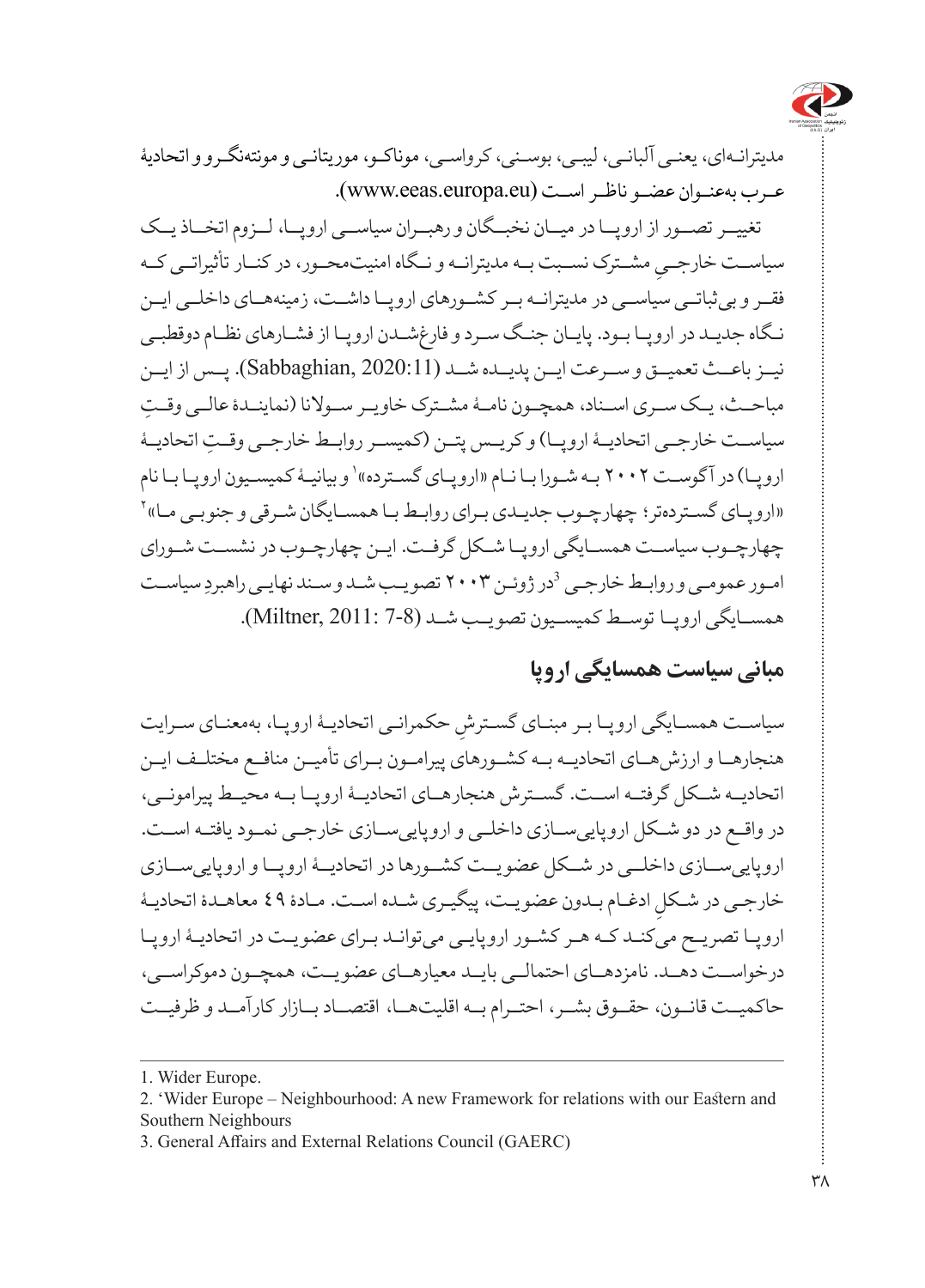

مدیترانـهای، یعنـی آلبانـی، لیبـی، بوسـنی، کرواسـی، موناکـو، موریتانـی و مونتهنگـرو و اتحادیۀ عـرب بهعنـوان عضـو ناظـر اسـت (www.eeas.europa.eu).

تغییــر تصــور از اروپــا در میــان نخبــگان و رهبــران سیاســی اروپــا، لــزوم اتخــاذ یــک سیاســت خارجـــي مشــترک نســبت بــه مدیترانــه و نــگاه امنیتمحــور، در کنــار تأثیراتــی کــه<br>سیاســـت فقــر و بیثباتــی سیاســی در مدیترانــه بــر کشــورهای اروپــا داشــت، زمینههــای داخلــی ایــن نـگاه جدیـد در اروپـا بـود. پایـان جنـگ سـرد و فارغشـدن اروپـا از فشـارهای نظـام دوقطبـی نیــز باعــث تعمیــق و ســرعت ایــن پدیــده شــد )2020:11 ,Sabbaghian). پــس از ایــن ِ مباحــث، یــک ســری اســناد، همچــون نامــۀ مشــترک خاویــر ســوالنا )نماینــدۀ عالــی وقــت سیاســت خارجــی اتحادیــۀ اروپــا) و کریــس پتــن (کمیســر روابــط خارجــی وقــت اتحادیــۀ اروپـا) در آگوسـت ۲۰۰۲ بـه شـورا بـا نـام «اروپـای گسـترده»<sup>،</sup> و بيانيـهٔ کميسـيون اروپـا بـا نام 2 »اروپـای گسـتردهتر؛ چهارچـوب جدیـدی بـرای روابـط بـا همسـایگان شـرقی و جنوبـی مـا« چهارچـوب سیاسـت همسـایگی اروپـا شـکل گرفـت. ایـن چهارچـوب در نشسـت شـورای امـور عمومـی و روابـط خارجـی <sup>3</sup>در ژوئـن ۲۰۰۳ تصویـب شـد و سـند نهایـی راهبردِ سیاسـت همســایگی اروپــا توســط کمیســیون تصویــب شــد )7-8 2011: ,Miltner).

### **مبانی سیاست همسایگی اروپا**

سیاسـت همسـایگی اروپـا بـر مبنـای گسـترشِ حکمرانـی اتحادیـهٔ اروپـا، بهمعنـای سـرایت<br>. هنجارهــا و ارزشهــای اتحادیــه بــه کشــورهای پیرامــون بــرای تأمیــن منافــع مختلــف ایــن اتحادیــه شــکل گرفتــه اســت. گســترش هنجارهــای اتحادیــۀ اروپــا بــه محیــط پیرامونــی، در واقــع در دو شــکل اروپاییســازی داخلــی و اروپاییســازی خارجــی نمــود یافتــه اســت. اروپاییســازی داخلــی در شــکل عضویــت کشــورها در اتحادیــۀ اروپــا و اروپاییســازی خارجـی در شـکلِ ادغـام بـدون عضویـت، پیگیـری شـده اسـت. مـادۀ ٤٩ معاهـدۀ اتحادیـۀ<br>. اروپـا تصریـح میکنـد کـه هـر کشـور اروپایـی میتوانـد بـرای عضویـت در اتحادیـۀ اروپـا درخواســت دهــد. نامزدهــای احتمالــی بایــد معیارهــای عضویــت، همچــون دموکراســی، حاکمیــت قانــون، حقــوق بشــر، احتــرام بــه اقلیتهــا، اقتصــاد بــازار کارآمــد و ظرفیــت

<sup>1.</sup> Wider Europe.

<sup>2. &#</sup>x27;Wider Europe – Neighbourhood: A new Framework for relations with our Eastern and Southern Neighbours

<sup>3.</sup> General Affairs and External Relations Council (GAERC)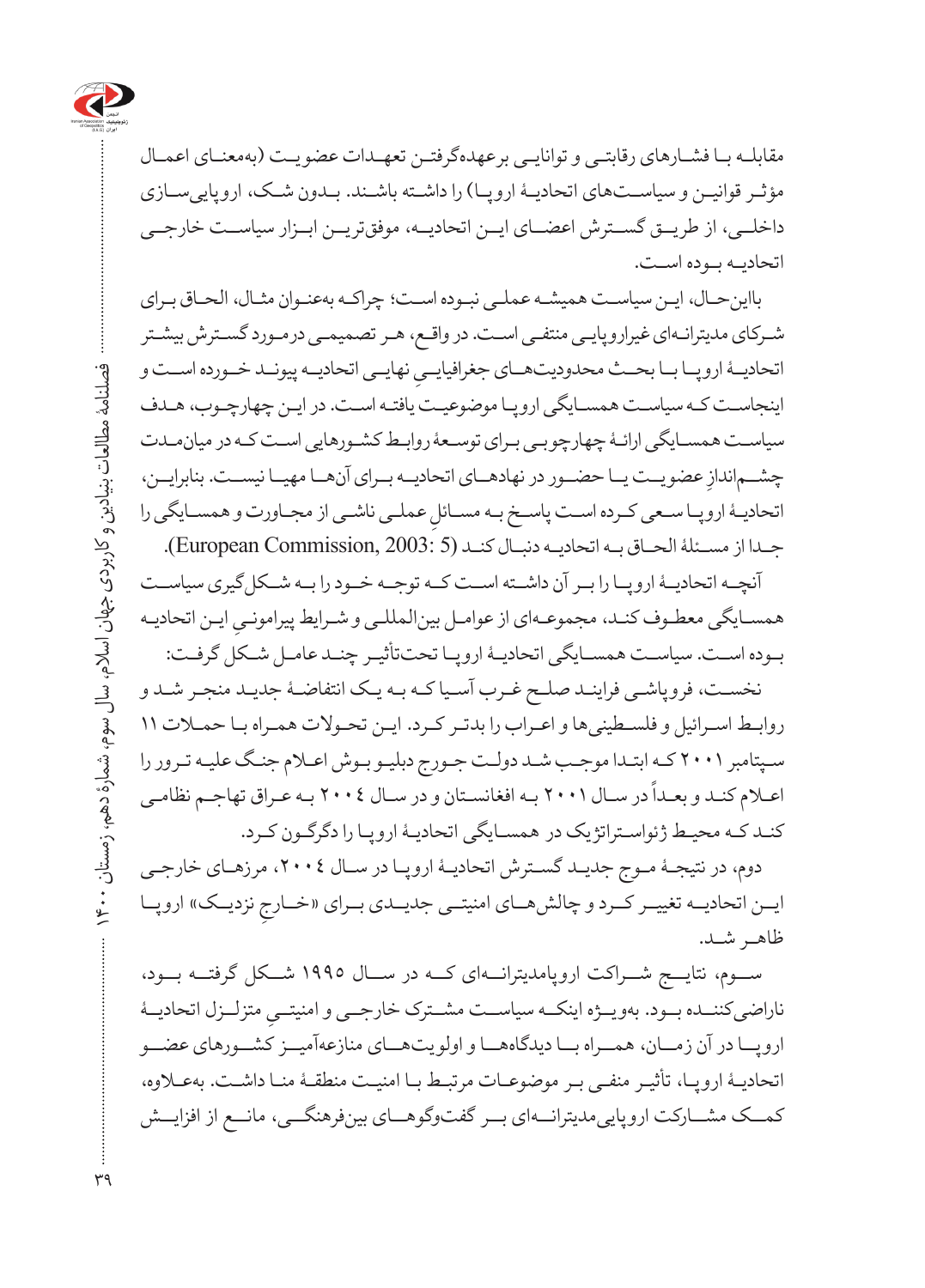

مقابلـه بـا فشـارهای رقابتـی و توانایـی برعهدهگرفتـن تعهـدات عضویـت )بهمعنـای اعمـال مؤثـر قوانیـن و سیاسـتهای اتحادیـۀ اروپـا( را داشـته باشـند. بـدون شـک، اروپاییسـازی داخلــی، از طریــق گســترش اعضــای ایــن اتحادیــه، موفقتریــن ابــزار سیاســت خارجــی اتحادیـه بـوده اسـت.

بااینحـال، ایـن سیاسـت همیشـه عملـی نبـوده اسـت؛ چراکـه بهعنـوان مثـال، الحـاق بـرای شـرکای مدیترانـهای غیراروپایـی منتفـی اسـت. در واقـع، هـر تصمیمـی درمـورد گسـترش بیشـتر اتحادیــۀ اروپــا بــا بحــث محدودیتهــای جغرافیایــیِ نهایــی اتحادیــه پیونــد خــورده اســت و<br>ا اینجاسـت کـه سیاسـت همسـایگی اروپـا موضوعیـت یافتـه اسـت. در ایـن چهارچـوب، هـدف سیاسـت همسـایگی ارائـۀ چهارچوبـی بـرای توسـعۀ روابـط کشـورهایی اسـت کـه در میانمـدت چشــم|ندازِ عضویــت یــا حضــور در نهادهــای اتحادیــه بــرای آنهــا مهیــا نیســت. بنابرایــن،<br>\* اتحادیـۀ اروپـا سـعی کـرده اسـت پاسـخ بـه مســائلِ عملـی ناشـی از مجـاورت و همســایگی را<br>انحادیـۀ اروپـا سـعی کـرده اســـ جـدا از مسـئلۀ الحـاق بـه اتحادیـه دنبـال کنـد )5 2003: ,Commission European).

آنچــه اتحادیــهٔ اروپــا را بــر آن داشــته اســت کــه توجــه خــود را بــه شــکل گیری سیاســت همسـایگی معطـوف کنـد، مجموعـهای از عوامـل بینالمللـی و شـرایط پیرامونـیِ ایـن اتحادیـه<br>\* بوــده اسـت. سیاستـ همس ایگی اتحادیـۀ اروپـا تحتتأثیـر چنـد عامـل شـکل گرفـت:

نخسـت، فروپاشـی فراینـد صلـح غـرب آسـیا کـه بـه یـک انتفاضـۀ جدیـد منجـر شـد و روابـط اسـرائیل و فلسـطینیها و اعـراب را بدتـر کـرد. ایـن تحـوالت همـراه بـا حمـات 11 سـپتامبر 2001 کـه ابتـدا موجـب شـد دولـت جـورج دبلیـو بـوش اعـام جنـگ علیـه تـرور را ً در سـال 2001 بـه افغانسـتان و در سـال 2004 بـه عـراق تهاجـم نظامـی اعـام کنـد و بعـدا کنـد کـه محیـط ژئواسـتراتژیک در همساـیگی اتحادیـۀ اروپ ا را دگرگـون کـرد.

دوم، در نتیجـهٔ مـوج جدیـد گسـترش اتحادیـهٔ اروپـا در سـال ٢٠٠٤، مرزهـای خارجـی ایــن اتحادیــه تغییــر کــرد و چالشهـــای امنیتــی جدیــدی بــرای «خــارجِ نزدیــک» اروپــا<br>نالمحمد بـــویسید ظاهـر شـد.

ســوم، نتایــج شــراکت اروپامدیترانــهای کــه در ســال 1995 شــکل گرفتــه بــود، ِ متزلزــل اتحادیــۀ ناراضیکنن ده بوــد. بهویـژه اینک ه سیاس ت مشــترک خارجیــ و امنیتـ ی اروپـ ا در آن زمــان، همــراه بــا دیدگاههــا و اولویتهــای منازعهآمیــز کشــورهای عضــو اتحادیـۀ اروپـا، تأثیـر منفـی بـر موضوعـات مرتبـط بـا امنیـت منطقـۀ منـا داشـت. بهعـلاوه، کمــک مشــارکت اروپاییمدیترانــهای بــر گفتوگوهــای بینفرهنگــی، مانــع از افزایــش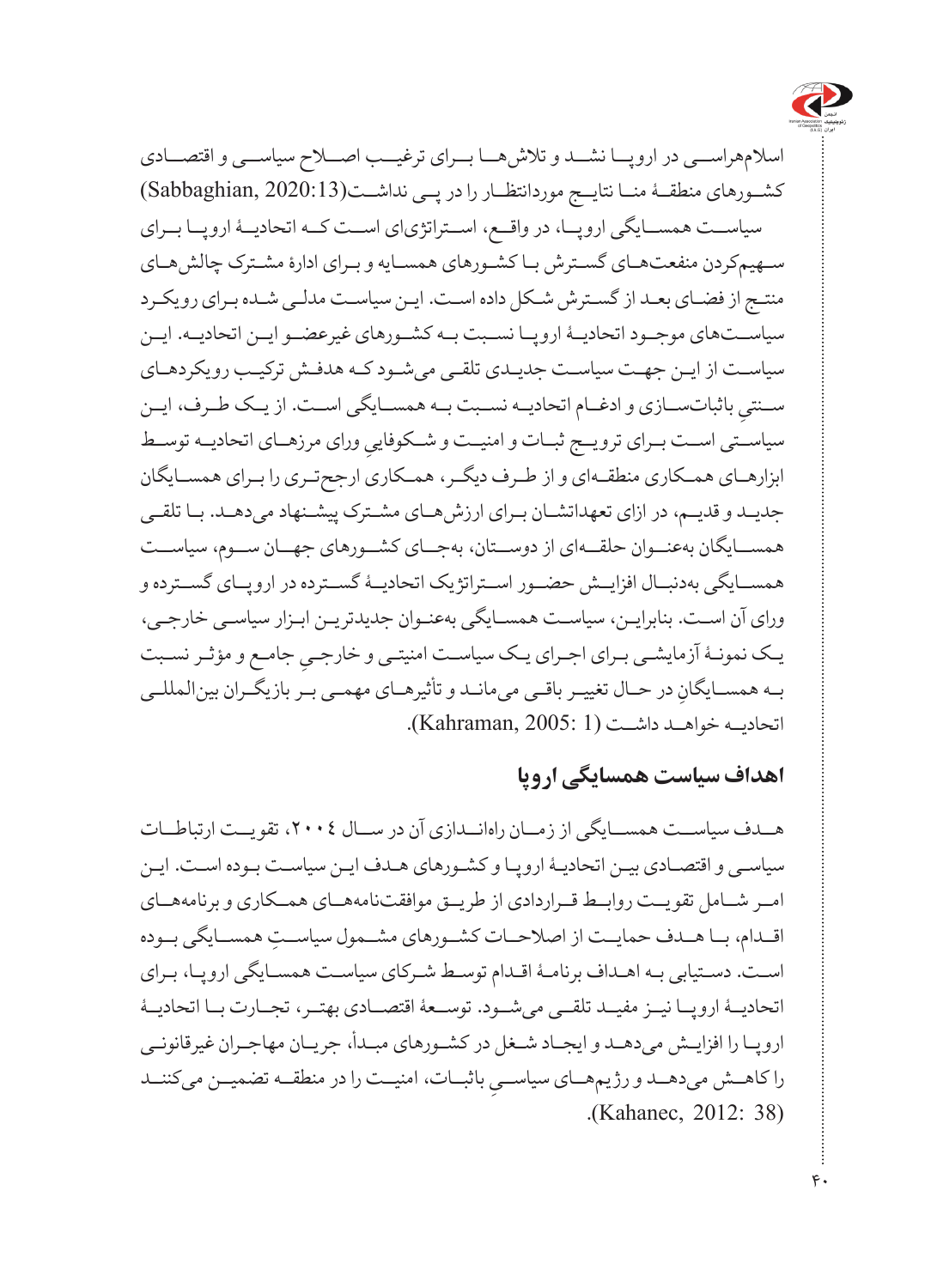

اسالمهراســی در اروپــا نشــد و تالشهــا بــرای ترغیــب اصــاح سیاســی و اقتصــادی کشــورهای منطقــۀ منــا نتايــج موردانتظــار را در پــی نداشــت(Sabbaghian, 2020:13) سیاسـت همســایگی اروپــا، در واقــع، اســتراتژیای اســت کــه اتحادیــۀ اروپــا بــرای سـهیمکردن منفعتهـای گسـترش بـا کش ورهای همساـیه و ب رای ادارۀ مش ترک چالشهـای منتـج از فضـای بعـد از گسـترش شـکل داده اسـت. ایـن سیاسـت مدلـی شـده بـرای رویکـرد سیاسـتهای موجوــد اتحادیــۀ اروپـا نســبت بــه کشــورهای غیرعضــو ایــن اتحادیــه. ایــن سیاسـت از ایــن جهـت سیاسـت جدیــدی تلقــی می شــود کــه هدفـش ترکیـب رویکردهـای ِ باثباتســازی و ادغــام اتحادیــه نســبت بــه همســایگی اســت. از یــک طــرف، ایــن ســنتی سیاســتی اســت بــرای ترویــج ثبــات و امنیــت و شــکوفاییِ ورای مرزهــای اتحادیــه توســط<br>سیاســت ابزارهــای همــکاری منطقــهای و از طــرف دیگــر، همــکاری ارجحتــری را بــرای همســایگان جدیـد و قدیـم، در ازای تعهداتشــان بـرای ارزشهــای مشـترک پیشـنهاد میدهـد. بـا تلقــی همســایگان بهعنــوان حلقــهای از دوســتان، بهجــای کشــورهای جهــان ســوم، سیاســت همســایگی بهدنبــال افزایــش حضــور اســتراتژیک اتحادیــۀ گســترده در اروپــای گســترده و ورای آن اسـت. بنابرایـن، سیاسـت همسـایگی بهعنـوان جدیدتریـن ابـزار سیاسـی خارجـی، یـک نمونـۀ آزمایشـی بـرای اجـرای یـک سیاســت امنیتـی و خارجـیِ جامـع و مؤثـر نسـبت<br>-بــه همســايگانِ در حــال تغييــر باقــي ميمانــد و تأثيرهــاي مهمــي بــر بازيگــران بينالمللــي اتحادیــه خواهــد داشــت )1 2005: ,Kahraman).

#### **اهداف سیاست همسایگی اروپا**

هــدف سیاســت همســایگی از زمــان راهانــدازی آن در ســال ،2004 تقویــت ارتباطــات سیاسـی و اقتصـادی بیـن اتحادیـۀ اروپـا و کشـورهای هـدف ایـن سیاسـت بـوده اسـت. ایـن امــر شــامل تقویــت روابــط قــراردادی از طریــق موافقتنامههــای همــکاری و برنامههــای ِ اقــدام، بــا هــدف حمایــت از اصالحــات کشــورهای مشــمول سیاســت همســایگی بــوده اسـت. دسـتیابی بـه اهـداف برنامـۀ اقـدام توسـط شـرکای سیاسـت همسـایگی اروپـا، بـرای اتحادیــۀ اروپــا نیــز مفیــد تلقــی میشــود. توســعۀ اقتصــادی بهتــر، تجــارت بــا اتحادیــۀ اروپـا را افزایـش میدهـد و ایجـاد شـغل در کشـورهای مبـدأ، جریـان مهاجـران غیرقانونـی را کاهــش میدهــد و رژیمهــای سیاســیِ باثبــات، امنیــت را در منطقــه تضمیــن میکننــد<br>ده میمود و مودم (Kahanec, 2012: 38).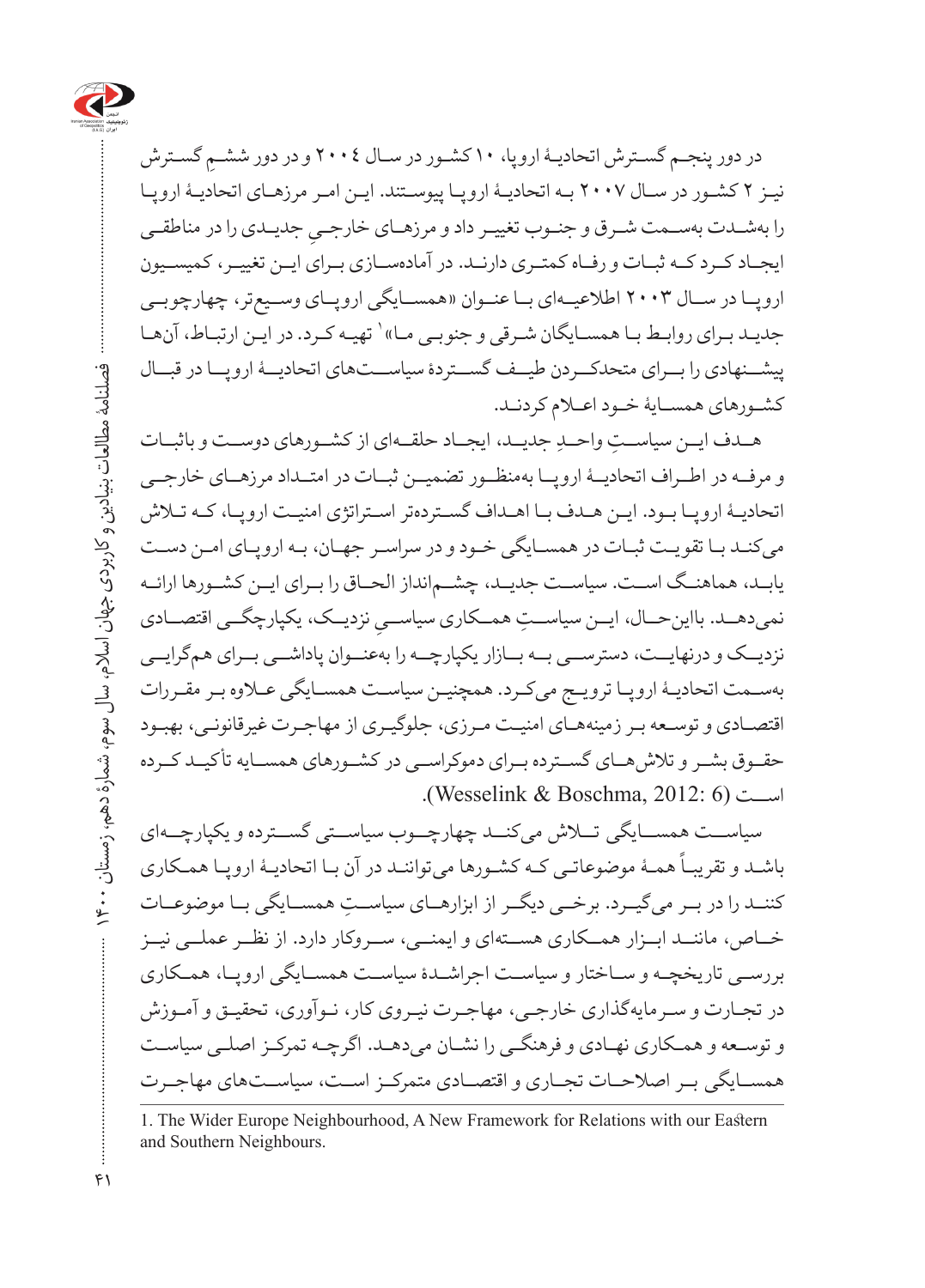

ِ گسـترش در دور پنجـم گسـترش اتحادیـۀ اروپا، 10 کشـور در سـال 2004 و در دور ششـم نیـز 2 کشـور در سـال 2007 بـه اتحادیـۀ اروپـا پیوسـتند. ایـن امـر مرزهـای اتحادیـۀ اروپـا را بهشــدت بهســمت شــرق و جنــوب تغییــر داد و مرزهــای خارجــ*ي* جدیــدی را در مناطقــی<br>ح ایجــاد کــرد کــه ثبــات و رفــاه کمتــری دارنــد. در آمادهســازی بــرای ایــن تغییــر، کمیســیون اروپــا در ســال 2003 اطالعیــهای بــا عنــوان »همســایگی اروپــای وســیعتر، چهارچوبــی جدیـد بـرای روابـط بـا همسـایگان شـرقی و جنوبـی مـا» ` تهیـه کـرد. در ایـن ارتبـاط، آنهـا پیشــنهادی را بــرای متحدکــردن طیــف گســتردۀ سیاســتهای اتحادیــۀ اروپــا در قبــال کشـورهای همسـایۀ خـود اعـام کردنـد.

هــدف ایــن سیاســتِ واحــدِ جدیــد، ایجــاد حلقــهای از کشــورهای دوســت و باثبــات و مرفــه در اطــراف اتحادیــۀ اروپــا بهمنظــور تضمیــن ثبــات در امتــداد مرزهــای خارجــی اتحادیـۀ اروپـا بـود. ایـن هـدف بـا اهـداف گسـتردهتر اسـتراتژی امنیـت اروپـا، کـه تـاش میکنـد بـا تقویـت ثبـات در همسـایگی خـود و در سراسـر جهـان، بـه اروپـای امـن دسـت یابــد، هماهنــگ اســت. سیاســت جدیــد، چشــمانداز الحــاق را بــرای ایــن کشــورها ارائــه نمیدهــد. بااینحــال، ایــن سیاســتِ همــکاری سیاســیِ نزدیــک، یکپارچگــی اقتصــادی<br>. نزدیــک و درنهایــت، دسترســی بــه بــازار یکپارچــه را بهعنــوان پاداشــی بــرای همگرایــی بهسـمت اتحادیـۀ اروپـا ترویـج میکـرد. همچنیـن سیاسـت همسـایگی عـاوه بـر مقـررات اقتصـادی و توسـعه بـر زمینههـای امنیـت مـرزی، جلوگیـری از مهاجـرت غیرقانونـی، بهبـود حقــوق بشــر و تالشهــای گســترده بــرای دموکراســی در کشــورهای همســایه تأکیــد کــرده اســت )6 2012: ,Boschma & Wesselink).

سیاســت همســایگی تلاش میکنــد چهارچــوب سیاســتی گســترده و یکپارچــهای ۔ میں استعمال کے کسی کے میں میں میں ہوتا ہے ۔<br>باشــد و تقریبــاً همــۀ موضوعاتــی کــه کشــورها میتواننــد در آن بــا اتحادیــۀ اروپــا همـکاری کننــد را در بــر می گیــرد. برخــی دیگــر از ابزارهــای سیاســت همســایگی بــا موضوعــات خ اص، ماننـ د ابـ زار هم کاری هستــهای و ایمنــی، ســروکار دارد. از نظــر عملــی نیــز بررسـی تاریخچـه و سـاختار و سیاسـت اجراشـدۀ سیاسـت همسـایگی اروپـا، همـکاری در تجـارت و سـرمایهگذاری خارجـی، مهاجـرت نیـروی کار، نـوآوری، تحقیـق و آمـوزش و توسعــه و همکــاری نهـادی و فرهنگیـ را نشـان میدهـد. اگرچـه تمرک ز اصلـی سیاسـت همســایگی برــ اصالح ات تج اری و اقتص ادی متمرکزــ اس ت، سیاس تهای مهاجــرت

<sup>1.</sup> The Wider Europe Neighbourhood, A New Framework for Relations with our Eastern and Southern Neighbours.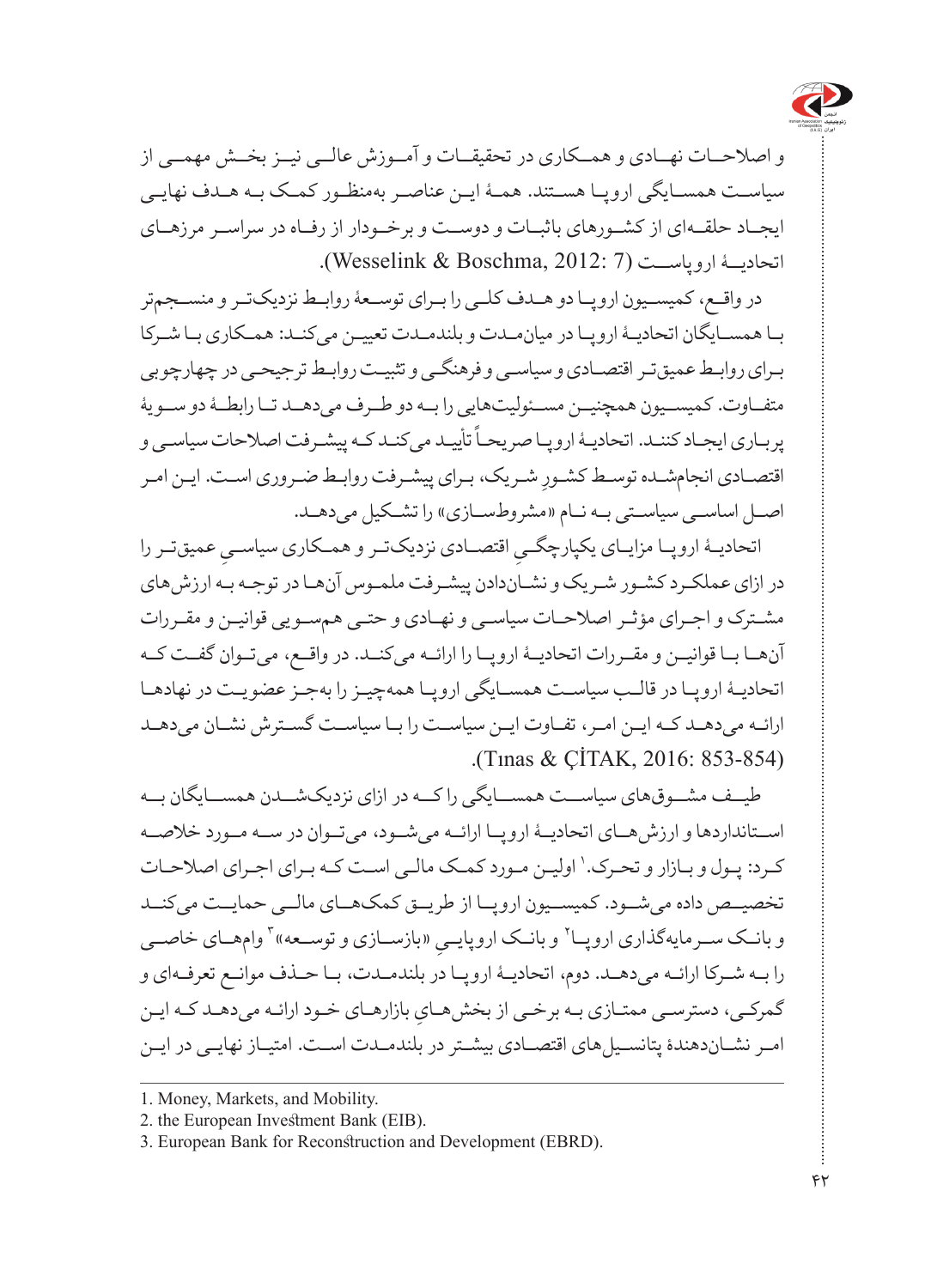

و اصلاحــات نهــادی و همــکاری در تحقیقــات و آمــوزش عالــه نسـز بخــش مهمــه از سیاسـت همســایگی اروپـا هســتند. همـۀ ایـن عناصـر بهمنظـور کمـک بـه هـدف نهایـی ایجــاد حلقــهای از کشــورهای باثبــات و دوســت و برخــودار از رفــاه در سراســر مرزهــای اتحادی ۀ اروپاســت )7 2012: ,Boschma & Wesselink).

در واقــع، کمیســیون اروپــا دو هــدف کلــی را بــرای توســعۀ روابــط نزدیکتــر و منســجمتر ب ا همساـیگان اتحادیـۀ اروپ ا در میانم دت و بلندمدــت تعیی ن میکنـد: همـکاری بـا شـرکا بـرای روابـط عمیقتـر اقتصـادی و سیاسـی و فرهنگـی و تثبیـت روابـط ترجیحـی در چهارچوبی متفــاوت. کمیســیون همچنیــن مســئولیتهایی را بــه دو طــرف می دهــد تــا رابطــهٔ دو ســویهٔ سیست کـه پیشـرفت .<br>پربـاری ایجـاد کننـد. اتحادیـۀ اروپـا صریحـاً تأییـد میکنـد کـه پیشـرفت اصلاحات سیاسـی و اقتصـادی انجامشـده توسـط کشـورِ شـریک، بـرای پیشـرفت روابـط ضـروری اسـت. ایـن امـر اصل اساسي سياستي به نام «مشروطسازي» را تشكيل مي دهـد.

اتحادیـهٔ اروپــا مزایــای یکپارچگـــوِ اقتصـــادی نزدیکتــر و همــکاری سیاســـوِ عمیقتــر را<br>سیست در ازای عملکـرد کشـور شـریک و نشـاندادن پیشـرفت ملمـوس آنهـا در توجـه بـه ارزشهای مشـترک و اجـرای مؤثـر اصالحـات سیاسـی و نهـادی و حتـی همسـویی قوانیـن و مقـررات آنها با قوانیـن و مقـررات اتحادیـهٔ اروپـا را ارائـه میکنــد. در واقــع، میتـوان گفــت کــه اتحادی ۀ اروپـا در قالـب سیاسـت همسـایگی اروپـا همهچیـز را بهجـز عضویـت در نهادهـا ارائـه می دهــد کــه ایــن امــر، تفــاوت ایــن سیاســت را بــا سیاســت گســترش نشــان می دهــد (Tinas & CİTAK, 2016: 853-854).

طی ف مشــوقهای سیاســت همســایگی را کــه در ازای نزدیکشــدن همســایگان بــه اسـتانداردها و ارزش هـای اتحادیــهٔ ارویــا ارائــه می شــود، می تــوان در ســه مــورد خلاصــه کـرد: پـول و بـازار و تحـرک. ' اولیـن مـورد کمـک مالـی اسـت کـه بـرای اجـرای اصلاحـات تخصیــص داده می شــود. کمیســیون اروپــا از طریــق کمکهــای مالــی حمایــت می کنــد و بانــک ســرمایهگذاری اروپــا` و بانــک اروپایــیِ «بازســازی و توســعه» ٔ وامهــای خاصــی<br>-را بـه شـرکا ارائـه می دهــد. دوم، اتحادیــهٔ اروپـا در بلندمــدت، بـا حــذف موانــع تعرفـهای و گمرکـی، دسترسـی ممتـازی بـه برخـی از بخش،حـایِ بازارهـای خـود ارائـه میدهـد کـه ایـن امـر نشـاندهندۀ پتانسـیلهای اقتصـادی بیشـتر در بلندمـدت اسـت. امتیـاز نهایـی در ایـن

<sup>1.</sup> Money, Markets, and Mobility.

<sup>2.</sup> the European Investment Bank (EIB).

<sup>3.</sup> European Bank for Reconstruction and Development (EBRD).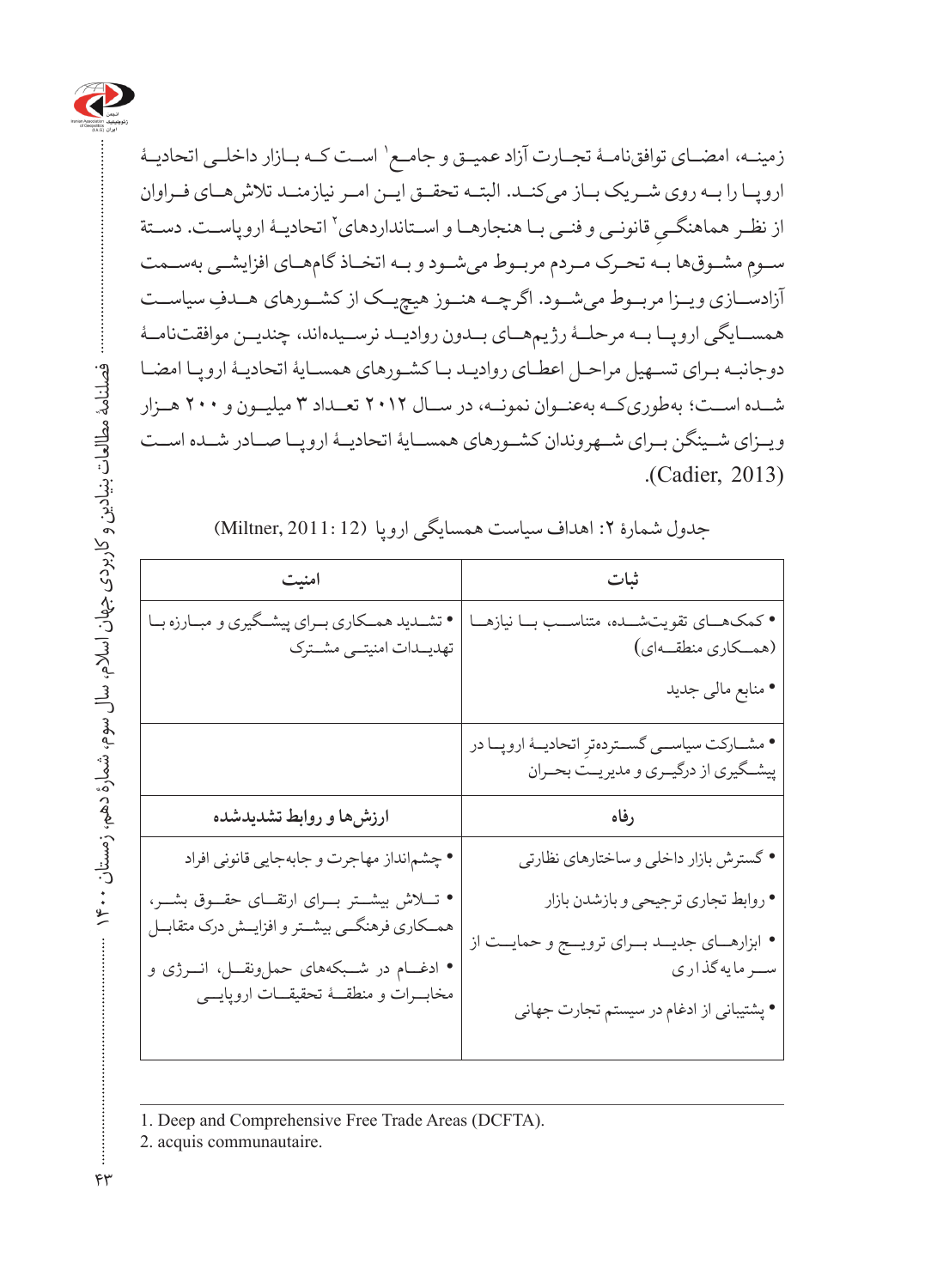

فصلنامۀ مطالعات بنیادین و کاربردی جهان اسالم، سال سوم، شمارۀ دهم، زمستان 1400

زمینــه، امضــاي توافقنامــۀ تجــارت آزاد عمیــق و جامــع' اســت كــه بــازار داخلــي اتحاديــۀ اروپ ا را بــه روی شــریک بــاز میکنــد. البتــه تحقــق ایــن امــر نیازمنــد تالشهــای فــراوان از نظـر هماهنگـــي قانونـــي و فنــي بــا هنجارهــا و اســتانداردهاي٬ اتحاديــهٔ اروپاســت. دســتة<br>. ســومِ مشــوقها بــه تحـرک مــردم مربــوط میشــود و بــه اتخــاذ گامهــای افزایشــی بهســمت آزادســازی ویــزا مربــوط میشــود. اگرچــه هنــوز هیچیــک از کشــورهای هــدفِ سیاســت همســایگی اروپــا بــه مرحلــۀ رژیمهــای بــدون روادیــد نرســیدهاند، چندیــن موافقتنامــۀ دوجانبـه بـرای تســهیل مراحـل اعطـای روادیـد بـاکشـورهای همسـایۀ اتحادیـۀ اروپـا امضـا شــده اســت؛ بهطوریکــه بهعنــوان نمونــه، در ســال 2012 تعــداد 3 میلیــون و 200 هــزار وی زای شیــنگن ب رای ش هروندان کشـورهای همساـیۀ اتحادیــۀ اروپـا صــادر شــده اســت (Cadier, 2013).

| جدول شمارة ٢: اهداف سياست همسايكي اروپا (Miltner, 2011: 12) |  |  |  |
|-------------------------------------------------------------|--|--|--|
|-------------------------------------------------------------|--|--|--|

| امنيت                                                                                                              | ثبات                                                                                                       |  |
|--------------------------------------------------------------------------------------------------------------------|------------------------------------------------------------------------------------------------------------|--|
| تشــدید همــکاري بــراي پيشــگيري و مبــارزه بــا<br>تهديـدات امنيتــى مشــترك                                     | • كمكهـاي تقويتشــده، متناســب بــا نيازهــا<br>(همكاري منطقهاي)                                           |  |
|                                                                                                                    | • منابع مالي جديد                                                                                          |  |
|                                                                                                                    | • مشــاركت سياســي گســتردهترِ اتحاديــهٔ اروپــا در<br>پیشگیری از درگیـری و مدیریــت بحـران               |  |
| ارزشها و روابط تشدیدشده                                                                                            | رفاه                                                                                                       |  |
| • چشم انداز مهاجرت و جابهجایی قانونی افراد                                                                         | • گسترش بازار داخلی و ساختارهای نظارتی                                                                     |  |
| • تــــلاش بیشـــتر بــــرای ارتقــــای حقــــوق بشــــر،<br>همـــکاری فرهنگـــی بیشــتر و افزایـــش درک متقابـــل | • روابط تجاري ترجيحي و بازشدن بازار                                                                        |  |
| • ادغـــام در شـــبکههای حملونقـــل، انـــرژی و<br>مخابـــرات و منطقـــهٔ تحقیقـــات اروپایــــی                   | • ابزارهـاي جديــد بــراي ترويــج و حمايــت از<br>سرمايه گذارى<br>• پشتیبانی از ادغام در سیستم تجارت جهانی |  |
|                                                                                                                    |                                                                                                            |  |

<sup>1.</sup> Deep and Comprehensive Free Trade Areas (DCFTA).

2. acquis communautaire.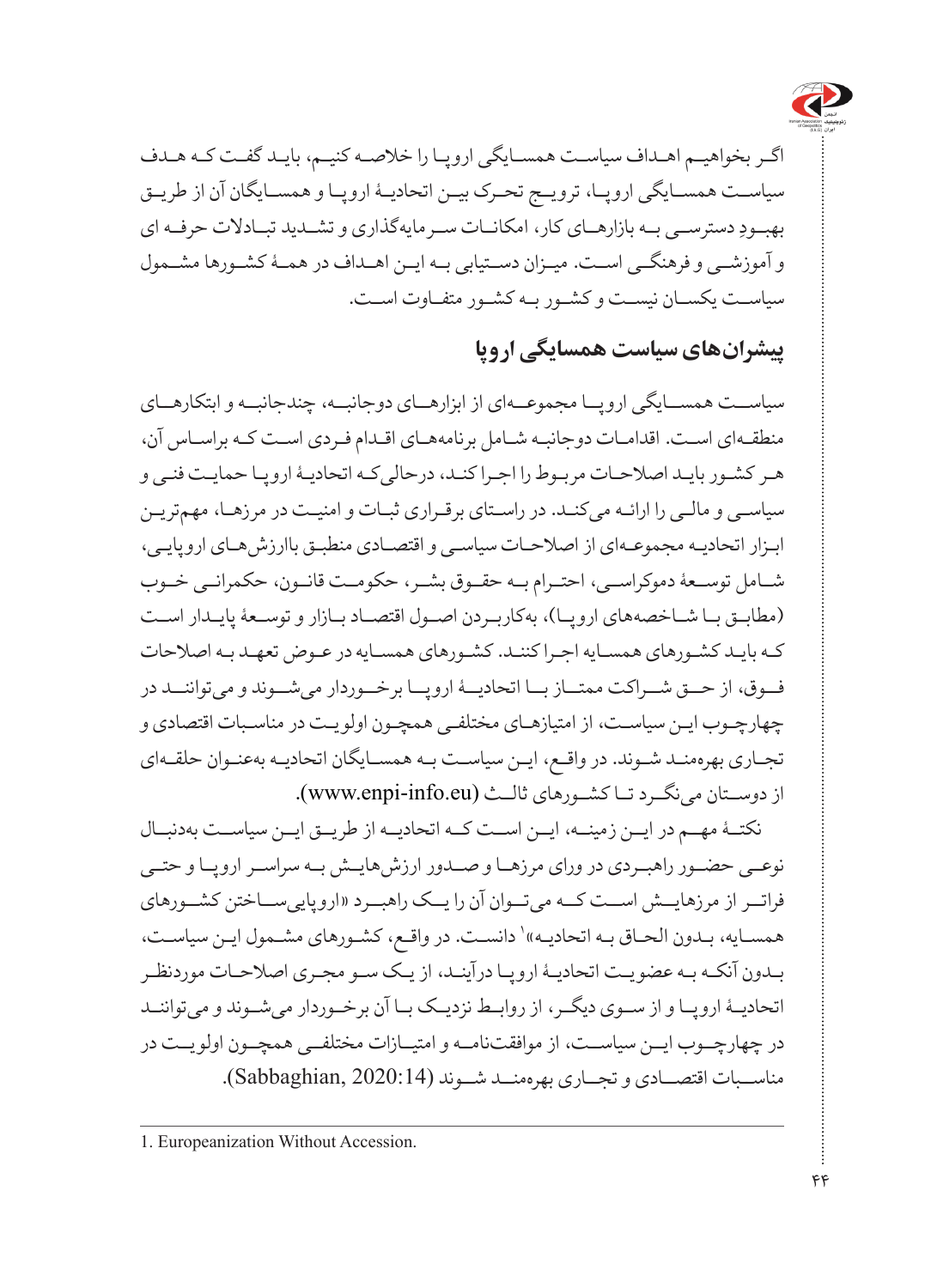

اگـر بخواهیـم اهـداف سیاسـت همسـایگی اروپـا را خالصـه کنیـم، بایـد گفـت کـه هـدف سیاسـت همســایگی اروپــا، ترویــج تحـرک بیــن اتحادیــهٔ اروپــا و همســایگان آن از طریـق ِ دسترســی بــه بازارهــای کار، امکانــات ســرمایهگذاری و تشــدید تبــادالت حرفــه ای بهبــود و آموزشــی و فرهنگــی اســت. میــزان دســتیابی بــه ایــن اهــداف در همــۀ کشــورها مشــمول سیاسـت یکسـان نیسـت و کشـور بـه کشـور متفـاوت اسـت.

#### **پیشرانهای سیاست همسایگی اروپا**

سیاســت همســایگی اروپــا مجموعــهای از ابزارهــای دوجانبــه، چندجانبــه و ابتکارهــای منطقـهای اسـت. اقدامـات دوجانبـه شـامل برنامههـای اقـدام فـردی اسـت کـه براسـاس آن، هـر کشـور بایـد اصالحـات مربـوط را اجـرا کنـد، درحالیکـه اتحادیـۀ اروپـا حمایـت فنـی و سیاسـی و مالـی را ارائـه میکنـد. در راسـتای برقـراری ثبـات و امنیـت در مرزهـا، مهمتریـن ابـزار اتحادیـه مجموعـهای از اصالحـات سیاسـی و اقتصـادی منطبـق باارزشهـای اروپایـی، شــامل توســعۀ دموکراســی، احتــرام بــه حقــوق بشــر، حکومــت قانــون، حکمرانــی خــوب )مطابـق بـا شـاخصههای اروپـا(، بهکاربـردن اصـول اقتصـاد بـازار و توسـعۀ پایـدار اسـت کـه بایـد کشـورهای همسـایه اجـرا کننـد. کشـورهای همسـایه در عـوض تعهـد بـه اصالحات فــوق، از حــق شــراکت ممتــاز بــا اتحادیــۀ اروپــا برخــوردار میشــوند و میتواننــد در چهارچـوب ایـن سیاسـت، از امتیازهـای مختلفـی همچـون اولویـت در مناسـبات اقتصادی و تجـاری بهرهمنـد شـوند. در واقـع، ایـن سیاسـت بـه همسـایگان اتحادیـه بهعنـوان حلقـهای از دوسـتان می نگــرد تــا کشــورهای ثالــث (www.enpi-info.eu).

نکتــۀ مهــم در ایــن زمینــه، ایــن اســت کــه اتحادیــه از طریــق ایــن سیاســت بهدنبــال نوعــی حضــور راهبــردی در ورای مرزهــا و صــدور ارزشهایــش بــه سراســر اروپــا و حتــی فراتــر از مرزهایــش اســت کــه میتــوان آن را یــک راهبــرد »اروپاییســاختن کشــورهای همسـایه، بـدون الحـاق بـه اتحادیـه» دانسـت. در واقـع، كشـورهاي مشـمول ایـن سیاسـت، بـدون آنکـه بـه عضویـت اتحادیـۀ اروپـا درآینـد، از یـک سـو مجـری اصالحـات موردنظـر اتحادیــۀ اروپــا و از ســوی دیگــر، از روابــط نزدیــک بــا آن برخــوردار میشــوند و میتواننــد در چهارچــوب ایــن سیاســت، از موافقتنامــه و امتیــازات مختلفــی همچــون اولویــت در مناســبات اقتصــادی و تجــاری بهرهمنــد شــوند )2020:14 ,Sabbaghian).

<sup>1.</sup> Europeanization Without Accession.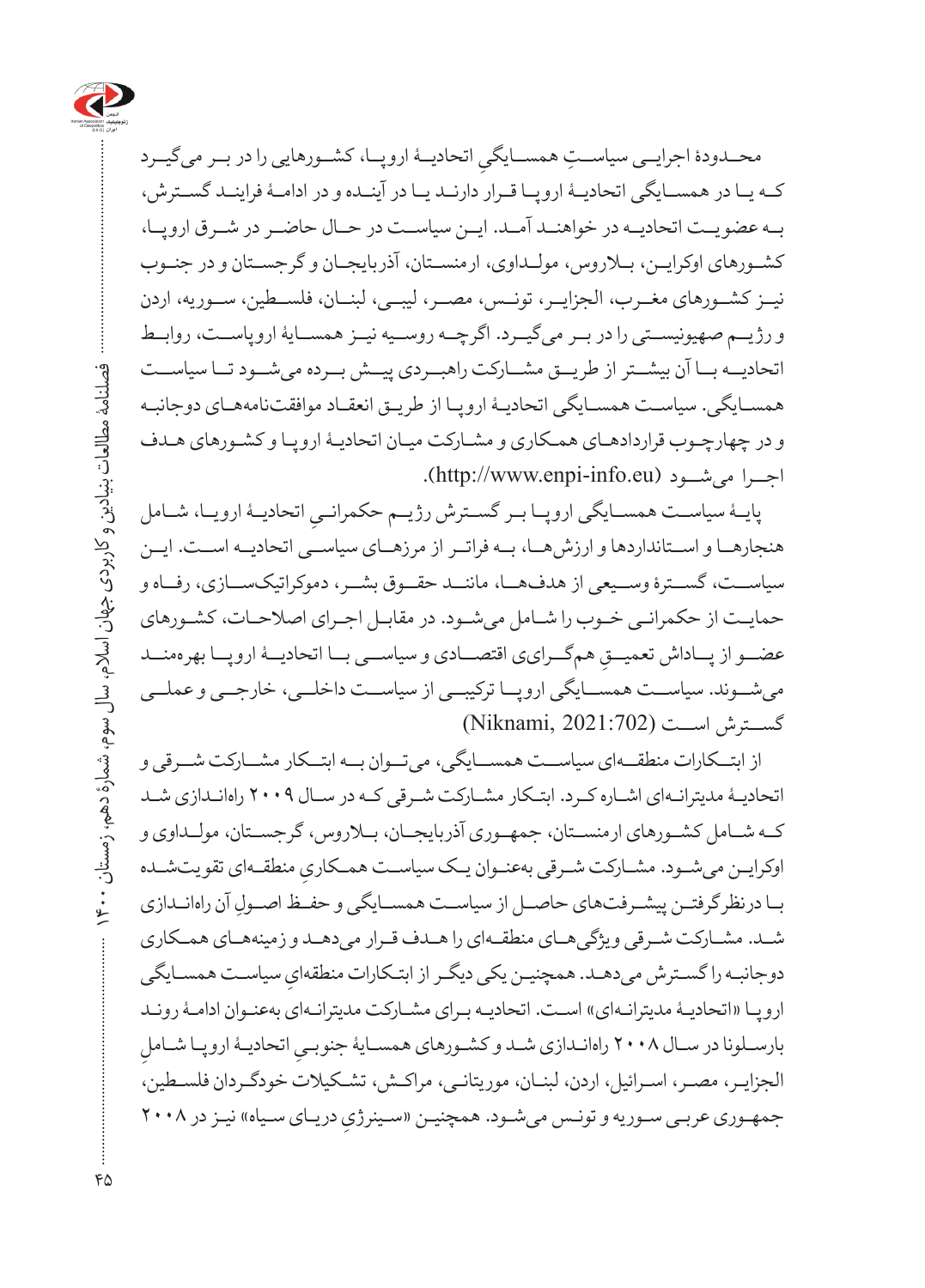

محــدودۀ اجرایــی سیاســتِ همســایگیِ اتحادیــهٔ اروپــا، كشــورهایی را در بــر میگیــرد<br>. کــه ی ا در همســایگی اتحادی ۀ اروپ ا قــرار دارنــد یــا در آینــده و در ادامــۀ فراینــد گســترش، بــه عضویــت اتحادیــه در خواهنــد آمــد. ایــن سیاســت در حــال حاضــر در شــرق اروپــا، کشــورهای اوکرایــن، بــاروس، مولــداوی، ارمنســتان، آذربایجــان و گرجســتان و در جنــوب نیــز کشــورهای مغــرب، الجزایــر، تونــس، مصــر، لیبــی، لبنــان، فلســطین، ســوریه، اردن و رژیــم صهیونیســتی را در بــر میگیــرد. اگرچــه روســیه نیــز همســایۀ اروپاســت، روابــط اتحادیــه بــا آن بیشــتر از طریــق مشــارکت راهبــردی پیــش بــرده میشــود تــا سیاســت همس ایگی. سیاسـت همس ایگی اتحادی ۀ اروپـا از طریـق انعقـاد موافقتنامههـای دوجانبـه و در چهارچ وب قراردادهاـی هم کاری و مشـارکت میـان اتحادی ۀ اروپ ا و کشـورهای هـدف اجــرا میشــود )[eu.info-enpi.www://http](http://www.enpi-info.eu)).

پایــۀ سیاســت همســایگی اروپــا بــر گســترش رژیــم حکمرانــیِ اتحادیــۀ ارویــا، شــامل هنجارهــا و اســتانداردها و ارزشهــا، بــه فراتــر از مرزهــای سیاســی اتحادیــه اســت. ایــن سیاســت، گســترۀ وســیعی از هدف\$ــا، ماننــد حقــوق بشــر، دموکراتیکســازی، رفــاه و حمایـت از حکمرانـی خـوب را شـامل میشـود. در مقابـل اجـرای اصالحـات، کشـورهای عضــو از پـــاداش تعميـــقِ همگـــرايي اقتصـــادي و سياســـي بــا اتحاديـــۀ اروپـــا بهرهمنـــد میشــوند. سیاســت همســایگی اروپــا ترکیبــی از سیاســت داخلــی، خارجــی و عملــی گســترش اســت )2021:702 ,Niknami)

از ابتــکارات منطقــهای سیاســت همســایگی، میتــوان بــه ابتــکار مشــارکت شــرقی و اتحادیـۀ مدیترانـهای اشـاره کـرد. ابتـکار مشـارکت شـرقی کـه در سـال 2009 راهانـدازی شـد کــه شــامل کشــورهای ارمنســتان، جمهــوری آذربایجــان، بــاروس، گرجســتان، مولــداوی و اوکرایــن میشــود. مشــارکت شــرقی بهعنــوان یــک سیاســت همــکاریِ منطقــهای تقویتـشــده<br>-بـا درنظرگرفتــن پیشــرفتـهای حاصــل از سیاســت همســایگی و حفــظ اصــولِ آن راهانــدازی شـد. مشـارکت شـرقی ویژگی هـای منطقـهای را هـدف قـرار می دهـد و زمینههـای همـکاری ِ سیاسـت همسـایگی دوجانبـه را گستـرش میدهـد. همچنیـن یکی دیگـر از ابتـکارات منطقهای اروپـا «اتحادیـۀ مدیترانـهای» اسـت. اتحادیـه بـرای مشـارکت مدیترانـهای بهعنـوان ادامـۀ رونـد ِ بارســلونا در ســال ۲۰۰۸ راهانــدازی شــد و کشــورهای همســايۀ جنوبــيِ اتحاديــۀ اروپــا شــاملِ<br>. الجزایـر، مصـر، اسـرائیل، اردن، لبنـان، موریتانـی، مراکـش، تشـکیالت خودگـردان فلسـطین، جمهـوری عربـی سـوریه و تونـس میشـود. همچنیـن «سـینرژیِ دریـای سـیاه» نیـز در ۲۰۰۸

فصلنامۀ مطالعات بنیادین و کاربردی جهان اسالم، سال سوم، شمارۀ دهم، زمستان 1400

فصلنامهٔ مطالعات بنیادین و کاربردی جهان اسلام، سال سوم، شمارهٔ دهم، زمستان ۱۴۰۰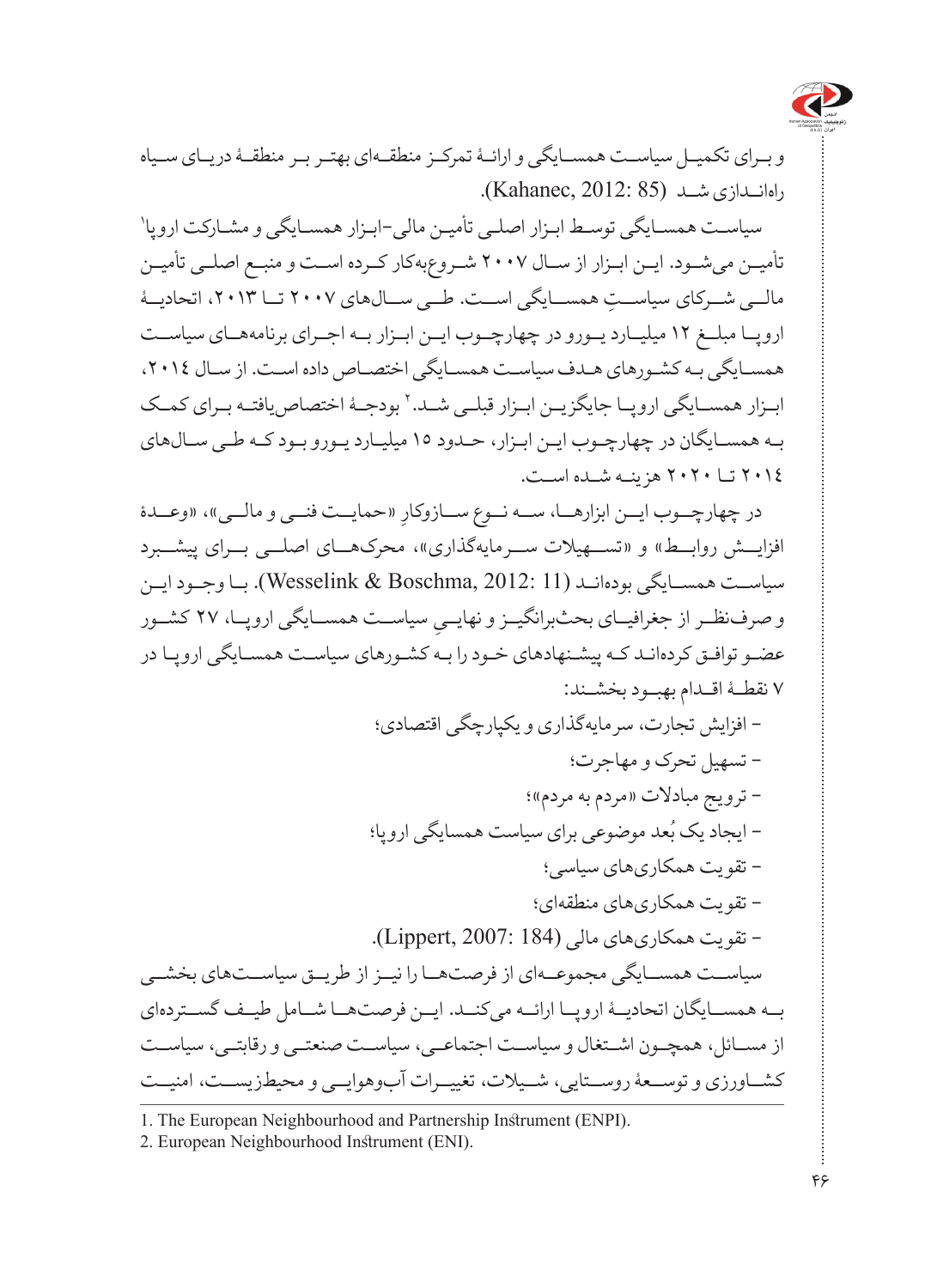

و بـرای تکمیـل سیاسـت همسـایگی و ارائـۀ تمرکـز منطقـهای بهتـر بـر منطقـۀ دریـای سـیاه راهانــدازی شــد )85 2012: ,Kahanec).

1 سیاسـت همسـایگی توسـط ابـزار اصلـی تأمیـن مالی-ابـزار همسـایگی و مشـارکت اروپا تأمیــن میشــود. ایــن ابــزار از ســال ۲۰۰۷ شــروعبهکار کــرده اســت و منبــع اصلــی تأمیــن مالــی شــرکای سیاســت همســایگی اســت. طــی ســال۱های ۲۰۰۷ تــا ۲۰۱۳، اتحادیــۀ اروپـا مبلــغ 12 میلی ارد یـورو در چهارچ وب ای ن اب زار ب ه اجـرای برنامههاــی سیاســت همسـایگی بـه کشـورهای هـدف سیاسـت همسـایگی اختصـاص داده اسـت. از سـال ،2014 ابــزار همســایگی اروپــا جایگزیــن ابــزار قبلــی شــد. ` بودجــۀ اختصاص یافتــه بــرای کمــک بـه همسـایگان در چهارچـوب ایـن ابـزار، حـدود 15 میلیاـرد یوـرو بوــد کـه طـی س الهای 2014 تـا 2020 هزینـه شـده اسـت.

در چهارچــوب ايــن ابزارهـــا، ســـه نــوع ســـازوکارِ «حمايـــت فنــي و مالــي»، «وعـــدۀ افزایــش روابــط» و «تســـهیلات ســـرمایهگذاری»، محرکهــای اصلـــی بـــرای پیشـــبرد سیاســت همســایگی بودهانــد )11 2012: ,Boschma & Wesselink). بــا وجــود ایــن ِ سیاســت همســایگی اروپــا، 27 کشــور و صرفنظــر از جغرافیــای بحثبرانگیــز و نهایــی عضـو توافـق کردهانـد کـه پیشـنهادهای خـود را بـه کشـورهای سیاسـت همسـایگی اروپـا در 7 نقطــۀ اقــدام بهبــود بخشــند:

> - افزایش تجارت، سرمایهگذاری و یکپارچگی اقتصادی؛ - تسهیل تحرک و مهاجرت؛ - ترویج مبادالت »مردم به مردم«؛

– ایجاد یک بُعد موضوعٰی برای سیاست همسایگی اروپا؛

- تقویت همکاریهای سیاسی؛ - تقویت همکاریهای منطقهای؛

- تقویت همکاریهای مالی )184 2007: ,Lippert).

سیاسـت همسـایگی مجموعــهای از فرصتهــا را نیــز از طریــق سیاســتهای بخشــی بـ ه همس ایگان اتحادیۀــ اروپ ا ارائ ه میکنــد. ایــن فرصتهــا شــامل طیــف گســتردهای از مســائل، همچــون اشــتغال و سیاســت اجتماعــی، سیاســت صنعتــی و رقابتــی، سیاســت کشــاورزی و توســعۀ روســتایی، شــیالت، تغییــرات آبوهوایــی و محیطزیســت، امنیــت

<sup>1.</sup> The European Neighbourhood and Partnership Instrument (ENPI).

<sup>2.</sup> European Neighbourhood Instrument (ENI).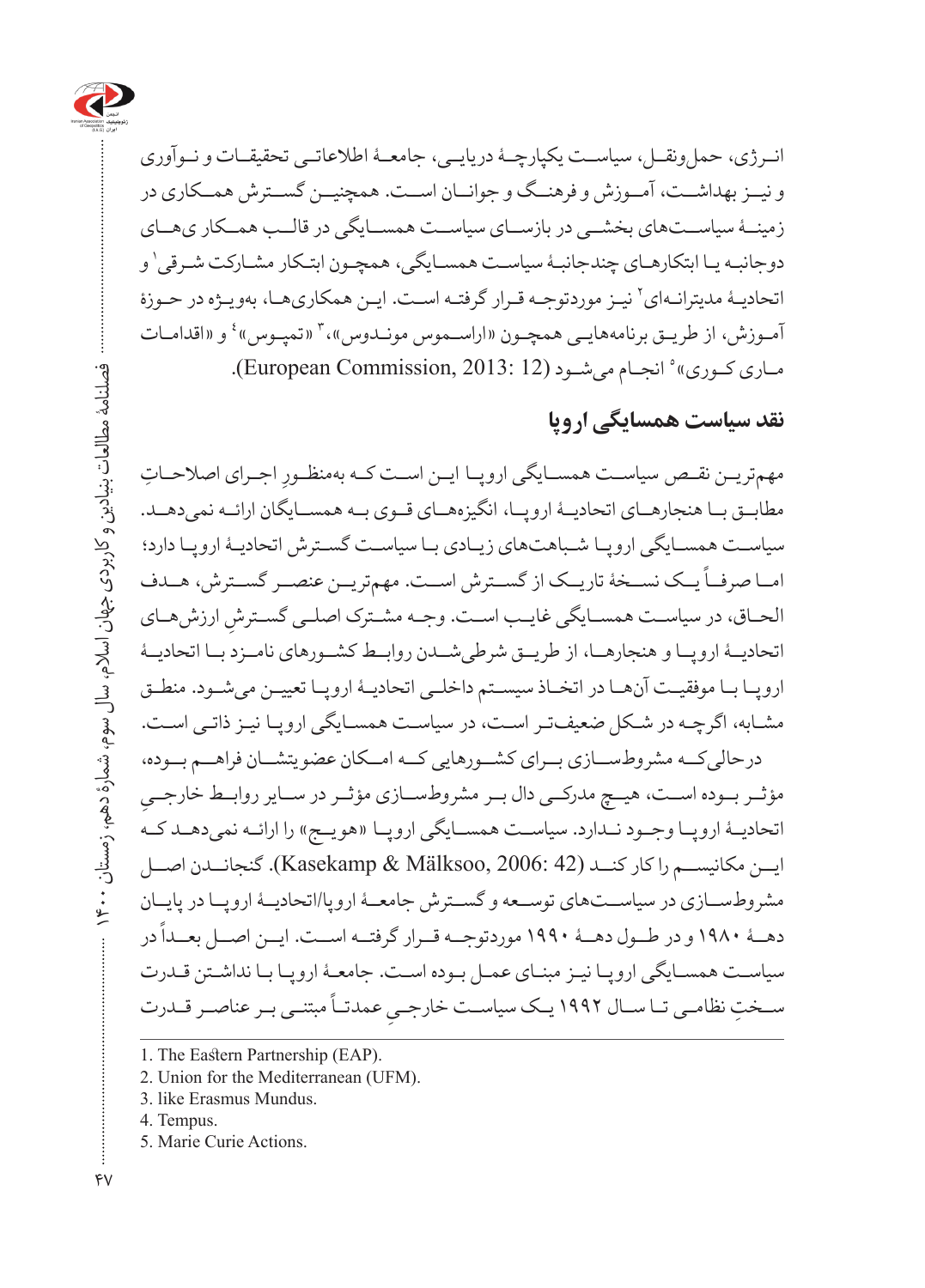

انــرژی، حملونقــل، سیاســت یکپارچــۀ دریایــی، جامعــۀ اطالعاتــی تحقیقــات و نــوآوری و نیــز بهداشــت، آمــوزش و فرهنــگ و جوانــان اســت. همچنیــن گســترش همــکاری در زمین ۀ سیاس تهای بخشــی در بازساـی سیاسـ ت همساــیگی در قالــب همــکار یهــای دوجانبـه یـا ابتکارهـای چندجانبـۀ سیاسـت همسـایگی، همچـون ابتـکار مشـارکت شـرقی`و اتحادیـۀ مدیترانـهاي` نيـز موردتوجـه قـرار گرفتـه اسـت. ايـن همکاريهـا، بهويـژه در حـوزۀ آمـوزش، از طريـق برنامههايـي همچـون «اراسـموس مونـدوس»، ۳ «تمپـوس» ٔ و «اقدامـات مـاری کـوری»° انجـام میشـود (European Commission, 2013: 12).

#### **نقد سیاست همسایگی اروپا**

مهم تریــن نقــص سیاســت همســایگی اروپــا ایــن اســت کــه بهمنظـورِ اجــرای اصلاحــاتِ مطابــق بــا هنجارهــای اتحادیــۀ اروپــا، انگیزههــای قــوی بــه همســایگان ارائــه نمی دهــد. سیاسـت همسـایگی اروپـا شـباهتهای زیـادی بـا سیاسـت گسـترش اتحادیـۀ اروپـا دارد؛ ر<br>امــا صرفــاً یــک نســخۀ تاریــک از گســترش اســت. مهم تریـــن عنصـــر گســترش، هــدف الحـاق، در سیاسـت همســایگی غایــب اســت. وجـه مشـترک اصلــی گســترشِ ارزش هــای اتحادیــۀ اروپــا و هنجارهــا، از طریــق شرطیشــدن روابــط کشــورهای نامــزد بــا اتحادیــۀ اروپـا بـا موفقیـت آنهـا در اتخـاذ سیسـتم داخلـی اتحادیـۀ اروپـا تعییـن میشـود. منطـق مشـابه، اگرچـه در شـکل ضعیفتـر اسـت، در سیاسـت همسـایگی اروپـا نیـز ذاتـی اسـت. درحالیکــه مشروطســازی بــرای کشــورهایی کــه امــکان عضویتشــان فراهــم بــوده، **∶** مؤثــر بــوده اســت، هیــچ مدرکــی دال بــر مشروطســازی مؤثــر در ســایر روابــط خارجــی اتحادیــۀ اروپــا وجــود نــدارد. سیاســت همســایگی اروپــا «هویــج» را ارائــه نمیدهــد کــه ایــن مکانیســم را کار کنــد )42 2006: ,Mälksoo & Kasekamp). گنجانــدن اصــل مشروطســازی در سیاســتهای توســعه و گســترش جامعــۀ اروپا/اتحادیــۀ اروپــا در پایــان ر در در در در در سال دهده ۱۹۹۰ موردتوجــه قــرار گرفتــه اســت. ایــن اصــل بعــداً در در طــول دهــۀ ۱۹۹۰ موردتوجــه قــرار سیاسـت همسـایگی اروپـا نیـز مبنـای عمـل بـوده اسـت. جامعـۀ اروپـا بـا نداشـتن قـدرت ۔ مبتنی سے سبک سے سرک سے سے سرک ہے۔<br>ســختِ نظامــی تــا ســال ۱۹۹۲ یــک سیاســت خارجــیِ عمدتــاً مبتنــی بــر عناصــر قــدرت

- 2. Union for the Mediterranean (UFM).
- 3. like Erasmus Mundus.
- 4. Tempus.
- 5. Marie Curie Actions.

<sup>1.</sup> The Eastern Partnership (EAP).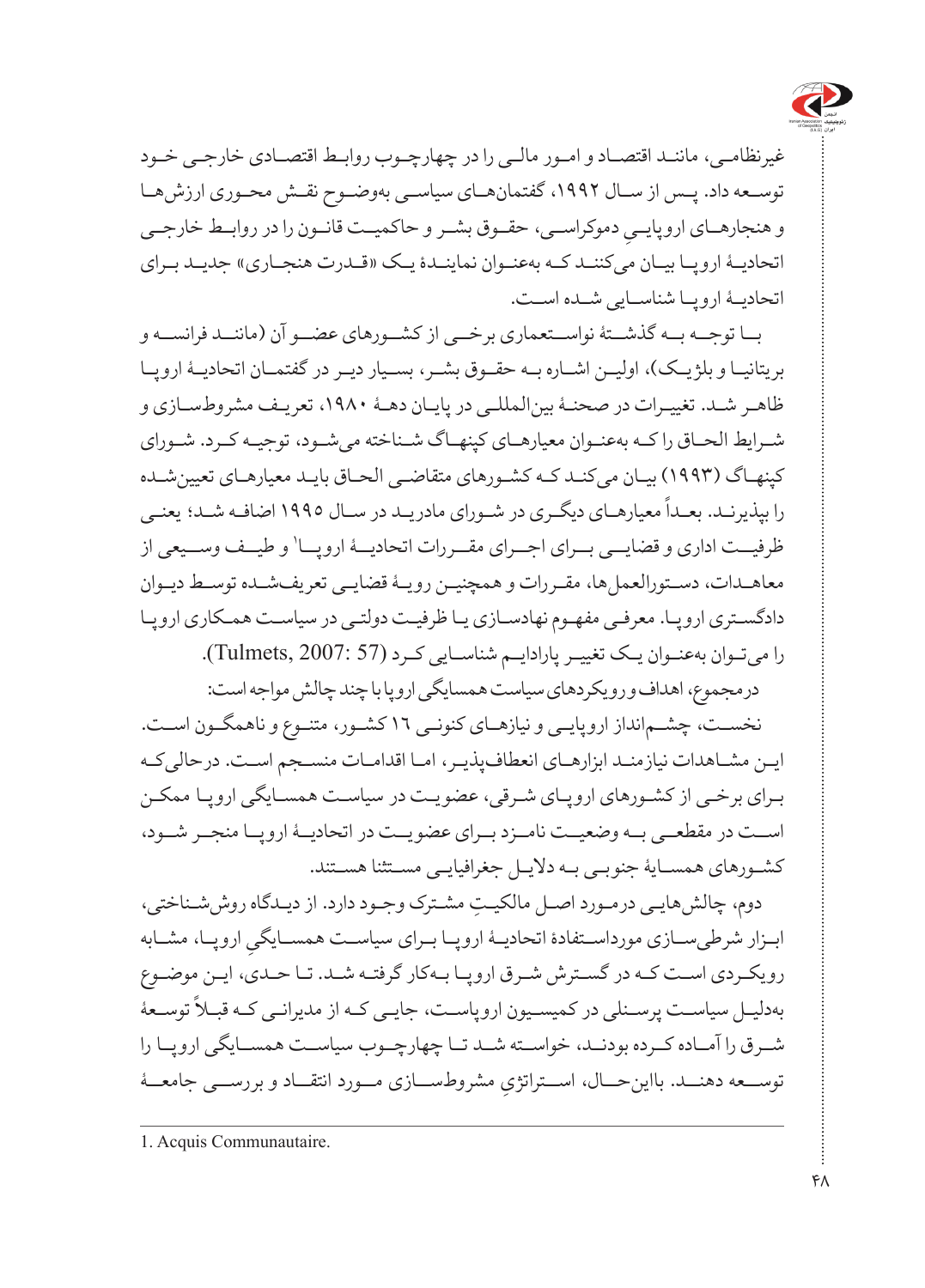

غیرنظامـی، ماننـد اقتصـاد و امـور مالـی را در چهارچـوب روابـط اقتصـادی خارجـی خـود توسـعه داد. پـس از سـال ،1992 گفتمانهـای سیاسـی بهوضـوح نقـش محـوری ارزشهـا و هنجارهــای اروپايــيِ دموکراســي، حقــوق بشــر و حاکميــت قانــون را در روابــط خارجــي<br>. اتحادیــۀ اروپــا بیــان می کننــد کــه بهعنــوان نماینــدۀ یــک «قــدرت هنجــاری» جدیــد بــرای اتحادیــۀ اروپــا شناســایی شــده اســت.

بــا توجــه بــه گذشــتۀ نواســتعماری برخــی از کشــورهای عضــو آن )ماننــد فرانســه و بریتانیــا و بلژیــک)، اولیــن اشــاره بــه حقــوق بشــر ، بســیار دیــر در گفتمــان اتحادیــۀ اروپــا ظاهـر شـد. تغییـرات در صحنـۀ بینالمللـی در پایـان دهـۀ ،1980 تعریـف مشروطسـازی و شـرایط الحـاق را کـه بهعنـوان معیارهـای کپنهـاگ شـناخته میشـود، توجیـه کـرد. شـورای کپنهـاگ )1993( بیـان میکنـد کـه کشـورهای متقاضـی الحـاق بایـد معیارهـای تعیینشـده .<br>را بپذیرنـد. بعـداً معیارهـای دیگـری در شـورای مادریـد در سـال ۱۹۹۰ اصافـه شـد؛ یعنـی ظرفیــت اداری و قضایــی بــرای اجــرای مقــررات اتحادیــۀ اروپــا' و طیــف وســیعی از معاهـدات، دسـتورالعملها، مقـررات و همچنیـن رویـۀ قضایـی تعریفشـده توسـط دیـوان دادگسـتری اروپـا. معرفـی مفهـوم نهادسـازی یـا ظرفیـت دولتـی در سیاسـت همـکاری اروپـا را میتـوان بهعنـوان یـک تغییـر پارادایـم شناسـایی کـرد )57 2007: ,Tulmets).

درمجموع، اهداف و رویکردهای سیاست همسایگی اروپا با چند چالش مواجه است:

نخسـت، چشـمانداز اروپایـی و نیازهـای کنونـی 16 کشـور، متنـوع و ناهمگـون اسـت. ایـن مشـاهدات نیازمنـد ابزارهـای انعطافپذیـر، امـا اقدامـات منسـجم اسـت. درحالیکـه بـرای برخـی از کشـورهای اروپـای شـرقی، عضویـت در سیاسـت همسـایگی اروپـا ممکـن اسـت در مقطعــى بـه وضعيــت نامــزد بـرای عضو يــت در اتحاديــۀ اروپــا منجــر شــود، کشـورهای همسـایۀ جنوبـی بـه دالیـل جغرافیایـی مسـتثنا هسـتند.

دوم، چالش ِ هایـی درمـورد اصـل مالکیـت مشـترک وجـود دارد. از دیـدگاه روششـناختی، ابــزار شرطیســـازی مورداســتفادۀ اتحادیــۀ اروپــا بــرای سیاســت همســایگـیِ اروپــا، مشــابه<br>. رویکـردی اسـت کـه در گسـترش شـرق اروپـا بـهکار گرفتـه شـد. تـا حـدی، ایـن موضـوع سی سیاسـت پرســنلی در کمیســیون اروپاســت، جایــی کــه از مدیرانــی کــه قبــلاً توســعۀ<br>بهدلیــل سیاســت پرســنلی در کمیســیون اروپاســت، جایــی کــه از مدیرانــی کــه قبــلاً توســعۀ شــرق را آمــاده کــرده بودنــد، خواســته شــد تــا چهارچــوب سیاســت همســایگی اروپــا را توســعه دهنـــد. بااینحـــال، اســتراتژيِ مشروطســـازی مـــورد انتقـــاد و بررســـی جامعـــۀ

<sup>1.</sup> Acquis Communautaire.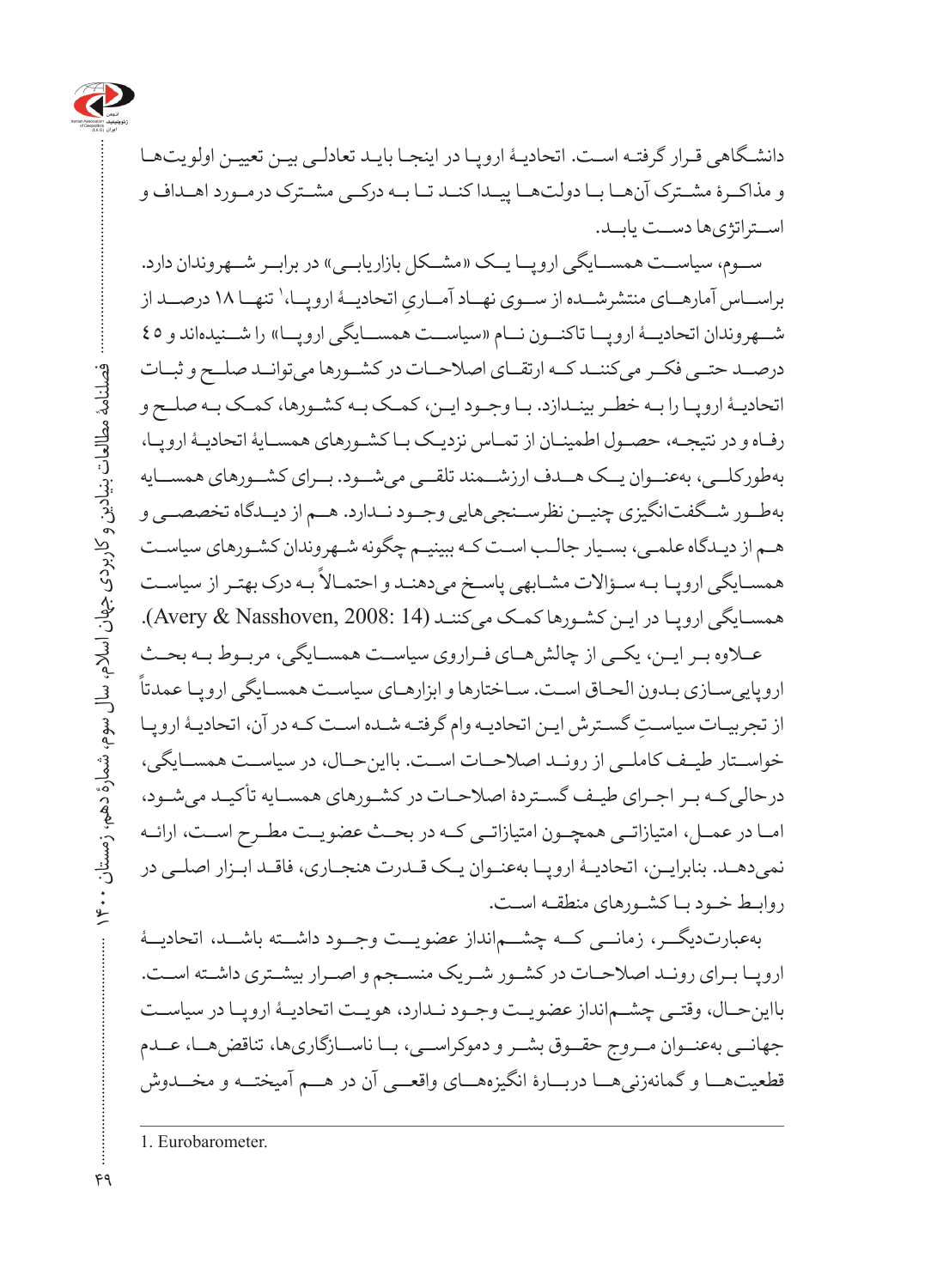

دانشـگاهی قـرار گرفتـه اسـت. اتحادیـهٔ اروپـا در اینجـا بایـد تعادلـی بیـن تعییـن اولویتهـا و مذاکــرۀ مشــترک آنهــا بــا دولتهــا پیــدا کنــد تــا بــه درکــی مشــترک درمــورد اهــداف و اســتراتژیها دســت یابــد.

ســوم، سیاســت همســـایگی اروپـــا یــک «مشــکل بازاریابــی» در برابــر شـــهروندان دارد. براســاس آمارهــاي منتشرشــده از ســوي نهــاد آمــاريِ اتحاديــۀ اروپــا،' تنهــا ١٨ درصــد از<br>. شهروندان اتحادیهۀ اروپـ ا تاکنــون نــام «سیاســت همســایگی اروپــا» را شــنیدهاند و ٤٥ درصــد حتــی فکــر می کننــد کــه ارتقــای اصلاحــات در کشــورها می توانــد صلــح و ثبــات اتحادیـۀ اروپ ا را بـه خطـر بینـدازد. بـا وجـود ایـن، کمـک بـه کشـورها، کمـک بـه صلـح و رفاـه و در نتیج ه، حصوــل اطمینـان از تماــس نزدی ک ب ا کش ورهای همساــیۀ اتحادیـۀ اروپـا، بهطورکلیــ، بهعن وان ی ک هــدف ارزشــمند تلقـ ی میشــود. بــرای کشــورهای همســایه بهطــور شــگفتانگیزی چنیــن نظرســنجیهایی وجــود نــدارد. هــم از دیــدگاه تخصصــی و هـم از دیـدگاه علمـی، بسـیار جالـب اسـت کـه ببینیـم چگونه شـهروندان کشـورهای سیاسـت ر محمد است.<br>همسـایگی اروپـا بـه سـؤالات مشـابهی پاسـخ میدهنـد و احتمـالاً بـه درک بهتـر از سیاسـت همسـایگی اروپـا در ایـن کشـورها کمـک میکننـد (14 :Avery & Nasshoven, 2008).

عــلاوه بــر ایــن، یکــی از چالش هــای فــراروی سیاســت همســایگی، مربـوط بــه بحــث اروپاییسـازی بـدون الحـاق اسـت. سـاختارها و ابزارهـای سیاسـت همسـایگی اروپـا عمدتا از تجربیـات سیاسـتِ گسـترش ایـن اتحادیـه وام گرفتـه شـده اسـت کـه در آن، اتحادیـۀ اروپـا خواســتار طیــف کاملــی از رونــد اصالحــات اســت. بااینحــال، در سیاســت همســایگی، درحالی کـه بـر اجـرای طیـف گسـتردۀ اصلاحـات در کشـورهای همسـایه تأکیـد میشـود، امــا در عمــل، امتیازاتــی همچــون امتیازاتــی کــه در بحــث عضویــت مطــرح اســت، ارائــه نمیدهدــ. بنابرای ن، اتحادی ۀ اروپ ا بهعنــوان یــک قــدرت هنجــاری، فاقــد ابــزار اصلــی در روابـط خـود بـا کشـورهای منطقـه اسـت.

بهعبارتدیگـــر، زمانــــی کـــه چشــــمانداز عضویـــت وجـــود داشـــته باشـــد، اتحادیـــۀ اروپ ا بـرای رونـد اصالحـات در کشـور شـریک منسـجم و اصـرار بیشـتری داشـته اسـت. بااین حـال، وقتـى چشــمانداز عضویـت وجـود نــدارد، هویـت اتحادیـهٔ اروپـا در سیاسـت جهانــی بهعنــوان مــروج حقــوق بشــر و دموکراســی، بــا ناســازگاریها، تناقضهــا، عــدم قطعیتهــا و گمانهزنیهــا دربــارۀ انگیزههــای واقعــی آن در هــم آمیختــه و مخــدوش

1. Eurobarometer.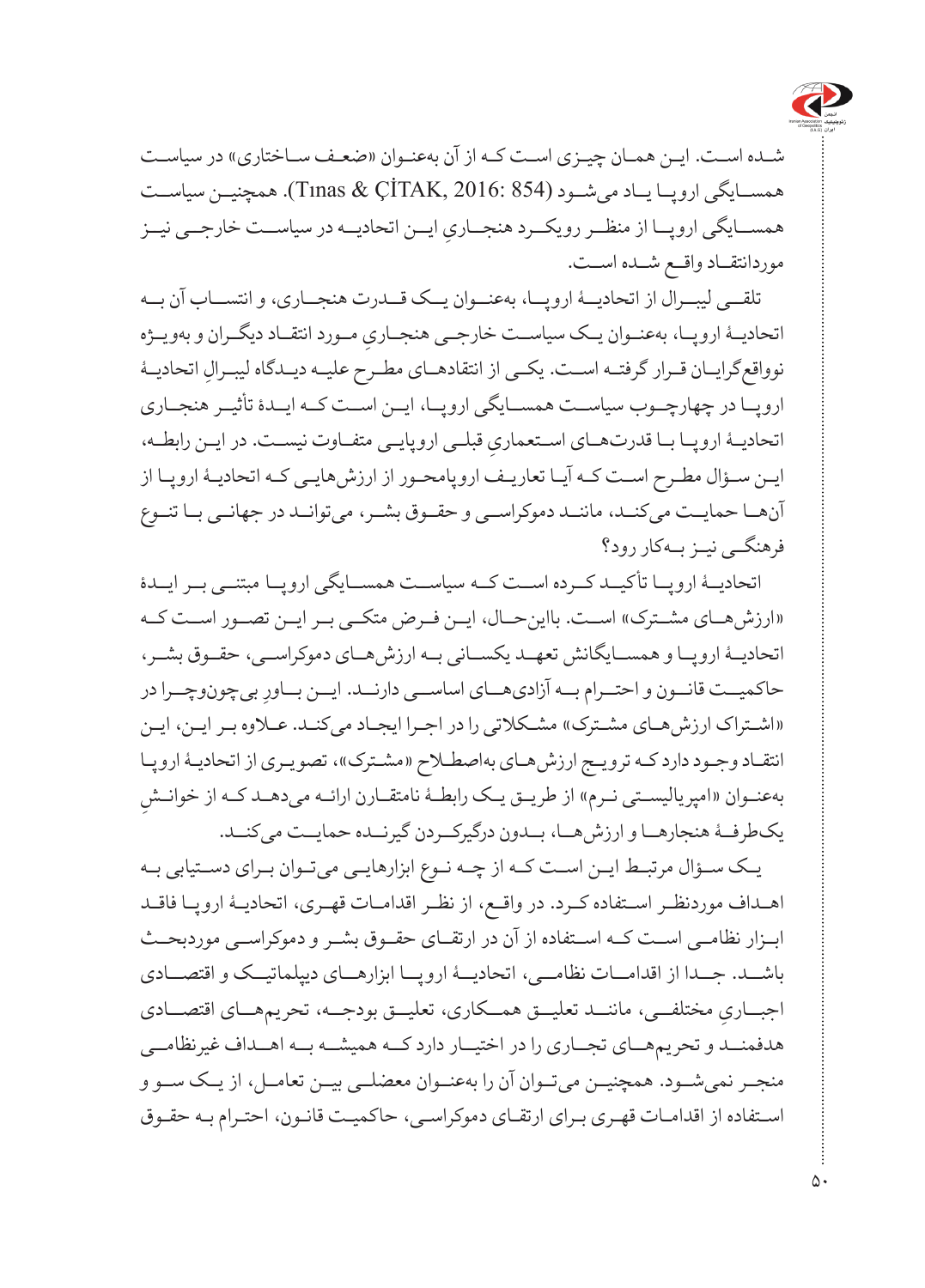

شـده اسـت. ایـن همـان چیـزی اسـت کـه از آن بهعنـوان «ضعـف سـاختاری» در سیاسـت همساــیگی اروپ ا یـاد میشــود )854 2016: ,ÇİTAK & Tınas). همچنیــن سیاســت همســـایگی اروپـــا از منظـــر رویکـــرد هنجـــاریِ ایـــن اتحادیـــه در سیاســـت خارجـــی نیــز موردانتقــاد واقــع شــده اســت.

تلق ی لیب رال از اتحادیـ ۀ اروپــا، بهعنــوان یــک قــدرت هنجــاری، و انتســاب آن بــه اتحادیــهٔ اروپــا، بهعنــوان یــک سیاســت خارجــی هنجــاریِ مــورد انتقــاد دیگــران و بهویــژه<br>. نوواقعگرایــان قــرار گرفتــه اســت. یکــی از انتقادهــای مطــرح علیــه دیــدگاه لیبــرالِ اتحادیــۀ اروپـ ا در چهارچــوب سیاسـت همساــیگی اروپ ا، ایــن اســت کــه ایــدۀ تأثیــر هنجــاری اتحادیــهٔ اروپــا بــا قدرتهـــای اســتعماریِ قبلــی اروپایــی متفــاوت نیســت. در ایــن رابطــه،<br>. ایـن سـؤال مطـرح اسـت کـه آیـا تعاریـف اروپامحـور از ارزش،هایـی کـه اتحادیـهٔ اروپـا از آنهــا حمایــت میکنــد، ماننــد دموکراســی و حقــوق بشــر، میتوانــد در جهانــی بــا تنــوع فرهنگــی نیــز بــهکار رود؟

اتحادی ۀ اروپــا تأکیــد کــرده اســت کــه سیاســت همســایگی اروپــا مبتنــی بــر ایــدۀ «ارزش هــای مشــترک» اســت. بااین حــال، ایــن فــرض متکــی بــر ایــن تصــور اســت کــه اتحادیـۀ اروپ ا و همســایگانش تعهــد یکســانی بــه ارزشهــای دموکراســی، حقــوق بشــر، حاکمیــت قانــون و احتــرام بــه آزادیهـــای اساســی دارنـــد. ایــن بــاورِ بیچونوچــرا در «اشتراک ارزش هـاى مشـترک» مشـكلاتى را در اجـرا ايجـاد مى كنـد. عـلاوه بـر ايـن، ايـن انتقـاد وجـود دارد کـه ترویـج ارزشهـای بهاصطـلاح «مشـترک»، تصویـری از اتحادیـۀ اروپـا ِ بهعنـوان »امپریالیسـتی نـرم« از طریـق یـک رابطـۀ نامتقـارن ارائـه میدهـد کـه از خوانـش یکطرفــۀ هنجارهــا و ارزشهــا، بــدون درگیرکــردن گیرنــده حمایــت میکنــد.

یـک ســؤال مرتبـط ایــن اسـت کــه از چــه نــوع ابزارهایــی میتــوان بـرای دسـتیابی بـه اهدـاف موردنظرـ اس تفاده ک رد. در واقعــ، از نظ ر اقداماـت قهرـی، اتحادیـۀ اروپـا فاقـد ابــزار نظامــی اســت کــه اســتفاده از آن در ارتقــای حقــوق بشــر و دموکراســی موردبحــث باش د. ج دا از اقدام ات نظامـ ی، اتحادی ۀ اروپ ا ابزارهــای دیپلماتیــک و اقتصــادی اجبــاریِ مختلفــی، ماننـــد تعلیـــق همـــکاری، تعلیـــق بودجـــه، تحریمهمـــای اقتصـــادی هدفمن د و تحریمهاــی تجــاری را در اختیــار دارد کــه همیشــه بــه اهــداف غیرنظامــی منجــر نمیشــود. همچنیــن میتــوان آن را بهعنــوان معضلــی بیــن تعامــل، از یــک ســو و اسـتفاده از اقدامـات قهـری بـرای ارتقـای دموکراسـی، حاکمیـت قانـون، احتـرام بـه حقـوق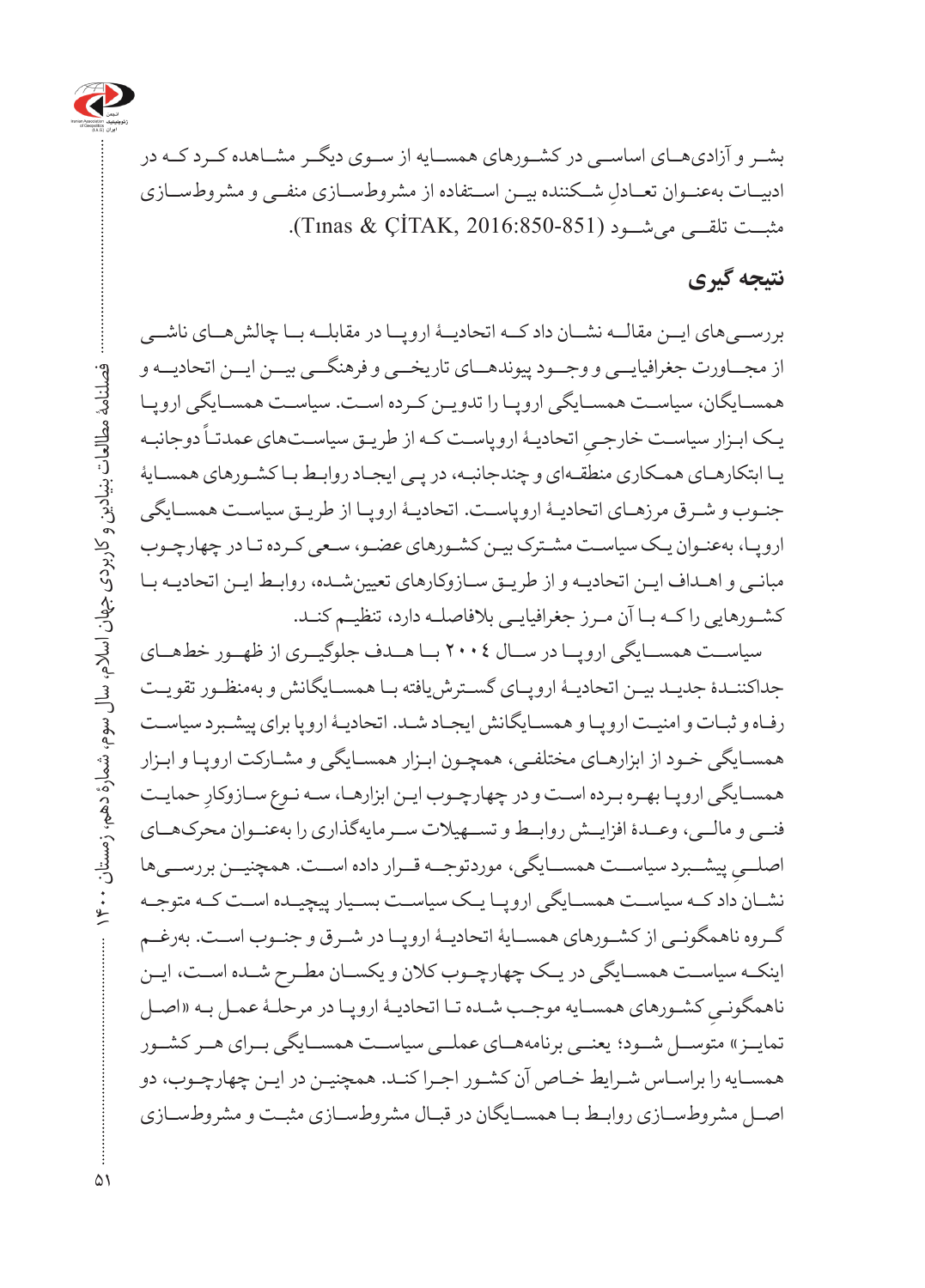

بش ر و آزادیه ای اساســی در کشــورهای همســایه از ســوی دیگــر مشــاهده کــرد کــه در ادبیــات بهعنــوان تعــادلِ شــکننده بیــن اســتفاده از مشروطســازی منفــی و مشروطســازی<br>. مثبت تلقسی می شــود (2016:850-851). Tınas & ÇİTAK, 2016:850).

### **نتیجه گیری**

بررســیهای ایــن مقالــه نشــان داد کــه اتحادیــۀ اروپــا در مقابلــه بــا چالشهــای ناشــی از مجــاورت جغرافیایــی و وجــود پیوندهــای تاریخــی و فرهنگــی بیــن ایــن اتحادیــه و همسـایگان، سیاسـت همسـایگی اروپـا را تدویـن کـرده اسـت. سیاسـت همسـایگی اروپـا ۔<br>یـک ابـزار سیاسـت خارجـیِ اتحادیـۀ اروپاسـت کـه از طریـق سیاسـتهای عمدتـاً دوجانبـه یـا ابتکارهـای همـکاری منطقـهای و چندجانبـه، در پـی ایجـاد روابـط بـا کشـورهای همسـایۀ جنـوب و شـرق مرزهـای اتحادیـۀ اروپاسـت. اتحادیـۀ اروپـا از طریـق سیاسـت همسـایگی اروپـا، بهعنـوان یـک سیاسـت مشـترک بیـن کشـورهای عضـو، سـعی کـرده تـا در چهارچـوب مبانـی و اهـداف ایـن اتحادیـه و از طریـق سـازوکارهای تعیینشـده، روابـط ایـن اتحادیـه بـا کشـورهایی را کـه بـا آن مـرز جغرافیایـی بالفاصلـه دارد، تنظیـم کنـد.

سیاســت همســایگی اروپــا در ســال 2004 بــا هــدف جلوگیــری از ظهــور خطهــای جداکننـدۀ جدیـد بیـن اتحادیـۀ اروپـای گسـترشیافته بـا همسـایگانش و بهمنظـور تقویـت رفـاه و ثبـات و امنیـت اروپـا و همسـایگانش ایجـاد شـد. اتحادیـۀ اروپا برای پیشـبرد سیاسـت همسـایگی خـود از ابزارهـای مختلفـی، همچـون ابـزار همسـایگی و مشـارکت اروپـا و ابـزار همسـایگی اروپـا بهـره بـرده اسـت و در چهارچـوب ایـن ابزارهـا، سـه نـوع سـازوکارِ حمایـت فنــی و مالــی، وعــدۀ افزایــش روابــط و تســهیالت ســرمایهگذاری را بهعنــوان محرکهــای ِ پیشــبرد سیاســت همســایگی، موردتوجــه قــرار داده اســت. همچنیــن بررســیها اصلــی نشــان داد کــه سیاســت همســایگی اروپــا یــک سیاســت بســیار پیچیــده اســت کــه متوجــه گــروه ناهمگونــی از کشــورهای همســایۀ اتحادیــۀ اروپــا در شــرق و جنــوب اســت. بهرغــم اینکــه سیاســت همســایگی در یــک چهارچــوب کالن و یکســان مطــرح شــده اســت، ایــن ِ کشـورهای همسـایه موجـب شـده تـا اتحادیـۀ اروپـا در مرحلـۀ عمـل بـه »اصـل ناهمگونـی تمایــز» متوســل شــود؛ یعنــی برنامههــای عملــی سیاســت همســایگی بــرای هــر کشــور همسـایه را براسـاس شـرایط خـاص آن کشـور اجـرا کنـد. همچنیـن در ایـن چهارچـوب، دو اصـل مشروطسـازی روابـط بـا همسـایگان در قبـال مشروطسـازی مثبـت و مشروطسـازی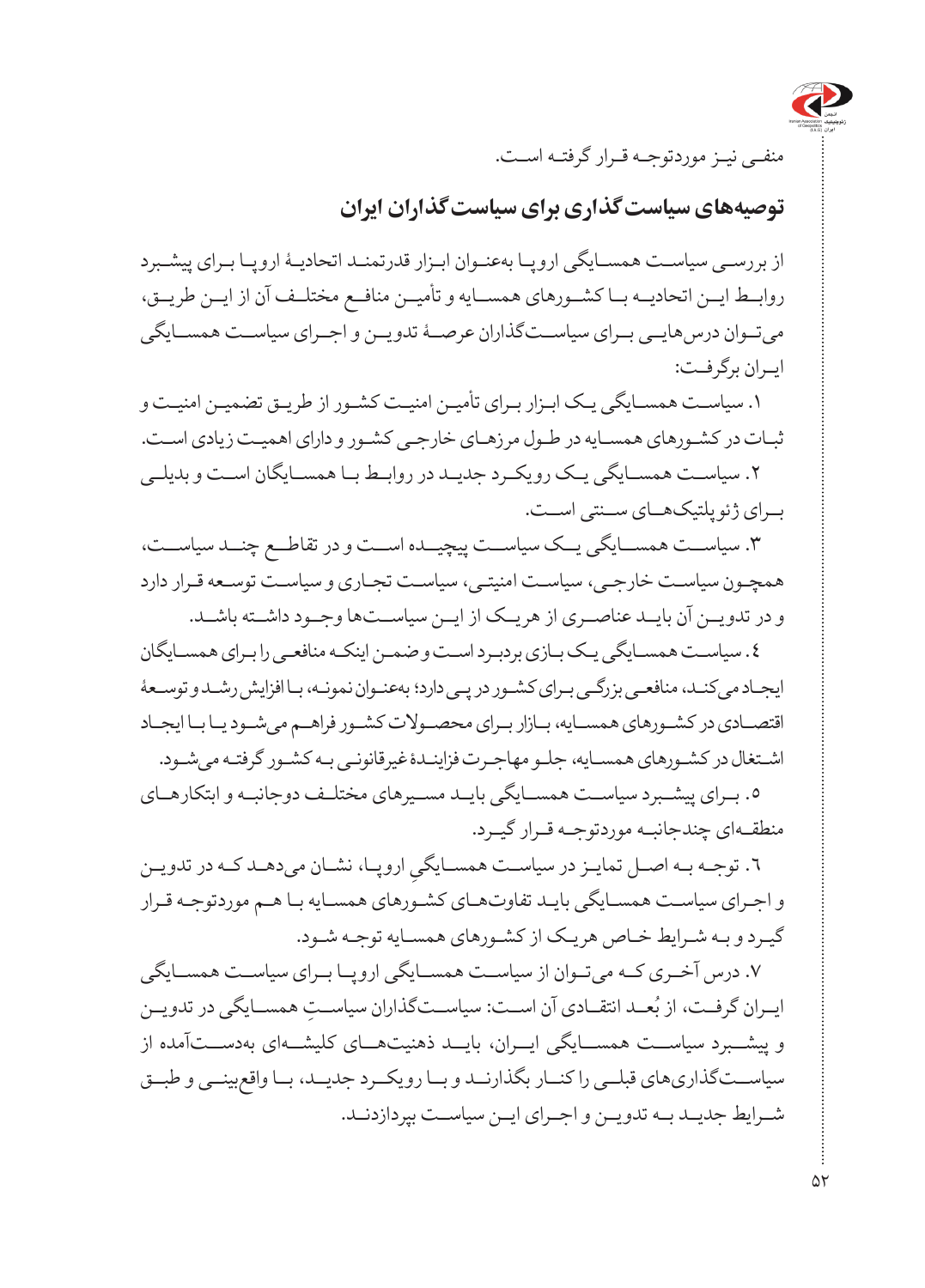

منفـی نیـز موردتوجـه قـرار گرفتـه اسـت.

**توصیههای سیاستگذاری برای سیاستگذاران ایران**

از بررسـی سیاسـت همسـایگی اروپـا بهعنـوان ابـزار قدرتمنـد اتحادیـۀ اروپـا بـرای پیشـبرد روابــط ایــن اتحادیــه بــا کشــورهای همســایه و تأمیــن منافــع مختلــف آن از ایــن طریــق، میتــوان درسهایــی بــرای سیاســتگذاران عرصــۀ تدویــن و اجــرای سیاســت همســایگی ایـران برگرفـت:

.1 سیاستــ همس ایگی ی ک ابـزار بـرای تأمی ن امنیـت کشـور از طریـق تضمیـن امنیـت و ثبـات در کشـورهای همسـایه در طـول مرزهـای خارجـی کشـور و دارای اهمیـت زیادی اسـت. .2 سیاســت همســایگی یــک رویکــرد جدیــد در روابــط بــا همســایگان اســت و بدیلــی برـای ژئوپلتیکهاــی سنــتی اسـ ت.

.3 سیاســت همســایگی یــک سیاســت پیچیــده اســت و در تقاطــع چنــد سیاســت، همچـون سیاسـت خارجـی، سیاسـت امنیتـی، سیاسـت تجـاری و سیاسـت توسـعه قـرار دارد و در تدویــن آن بایــد عناصــری از هریــک از ایــن سیاســتها وجــود داشــته باشــد.

.4 سیاسـت همسـایگی یـک بـازی بردبـرد اسـت و ضمـن اینکـه منافعـی را بـرای همسـایگان ایجـاد میکنـد، منافعـی بزرگـی بـرای کشـور در پـی دارد؛ بهعنـوان نمونـه، بـا افزایش رشـد و توسـعۀ اقتصاـدی در کشـورهای همس ایه، ب ازار ب رای محص والت کشـور فراه م میشـود یـا بـا ایجـاد اشــتغال در کشــورهای همســایه، جلــو مهاجــرت فزاینــدۀ غیرقانونــی بــه کشــور گرفتــه می شــود.

.5 برـای پیش برد سیاســت همس ایگی بایـد مس یرهای مختل ف دوجانب ه و ابتکارهــای منطقـهای چندجانبـه موردتوجـه قـرار گیـرد.

٦. توجــه بــه اصــل تمايــز در سياســت همســايگيِ اروپــا، نشــان مىدهــد كــه در تدويــن<br>-و اجرـای سیاسـت همس ایگی بای د تفاوتهـای کشـورهای همسـایه بـا هـم موردتوجـه قـرار گیـرد و بـه شـرایط خـاص هریـک از کشـورهای همسـایه توجـه شـود.

.7 درس آخرـی ک ه میتــوان از سیاســت همســایگی اروپــا بــرای سیاســت همســایگی ایــران گرفــت، از بُعــد انتقــادی آن اســت: سیاســتگذاران سیاســتِ همســایگی در تدویــن و پیشبــرد سیاستـ همس ایگی ای ران، بای د ذهنیته ای کلیشــهای بهدســتآمده از سیاســتگذاریهای قبلــی را کنــار بگذارنــد و بــا رویکــرد جدیــد، بــا واقعبینــی و طبــق شــرایط جدیــد بــه تدویــن و اجــرای ایــن سیاســت بپردازدنــد.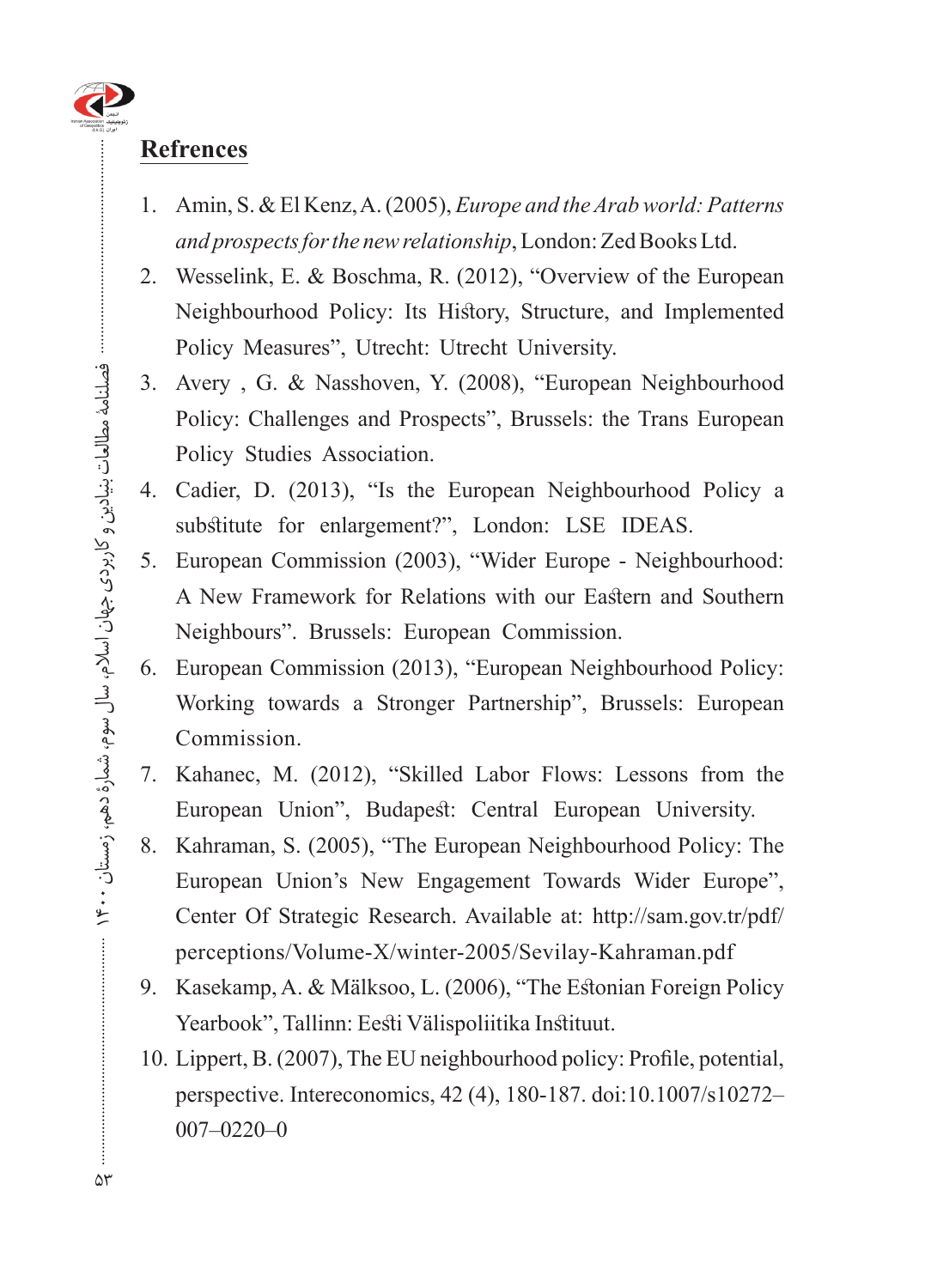#### **Refrences**

- 1. Amin, S. & El Kenz, A. (2005), *Europe and the Arab world: Patterns* and prospects for the new relationship, London: Zed Books Ltd.
- 2. Wesselink, E. & Boschma, R. (2012), "Overview of the European Neighbourhood Policy: Its History, Structure, and Implemented Policy Measures", Utrecht: Utrecht University.
- 3. Avery , G. & Nasshoven, Y. (2008), "European Neighbourhood Policy: Challenges and Prospects", Brussels: the Trans European Policy Studies Association.
- 4. Cadier, D. (2013), "Is the European Neighbourhood Policy a. substitute for enlargement?", London: LSE IDEAS.
- 5. European Commission (2003), "Wider Europe Neighbourhood: A New Framework for Relations with our Eastern and Southern Neighbours". Brussels: European Commission.
- 6. European Commission (2013), "European Neighbourhood Policy: Working towards a Stronger Partnership", Brussels: European Commission.
- 7. Kahanec, M. (2012), "Skilled Labor Flows: Lessons from the European Union", Budapest: Central European University.
- 8. Kahraman, S. (2005), "The European Neighbourhood Policy: The European Union's New Engagement Towards Wider Europe", Center Of Strategic Research. Available at: http://sam.gov.tr/pdf/ perceptions/Volume-X/winter-2005/Sevilay-Kahraman.pdf
- 9. Kasekamp, A. & Mälksoo, L. (2006), "The Estonian Foreign Policy Yearbook", Tallinn: Eesti Välispoliitika Instituut.
- 10. Lippert, B. (2007), The EU neighbourhood policy: Profile, potential, perspective. Intereconomics, 42 (4), 180-187. doi:10.1007/s10272- $007 - 0220 - 0$